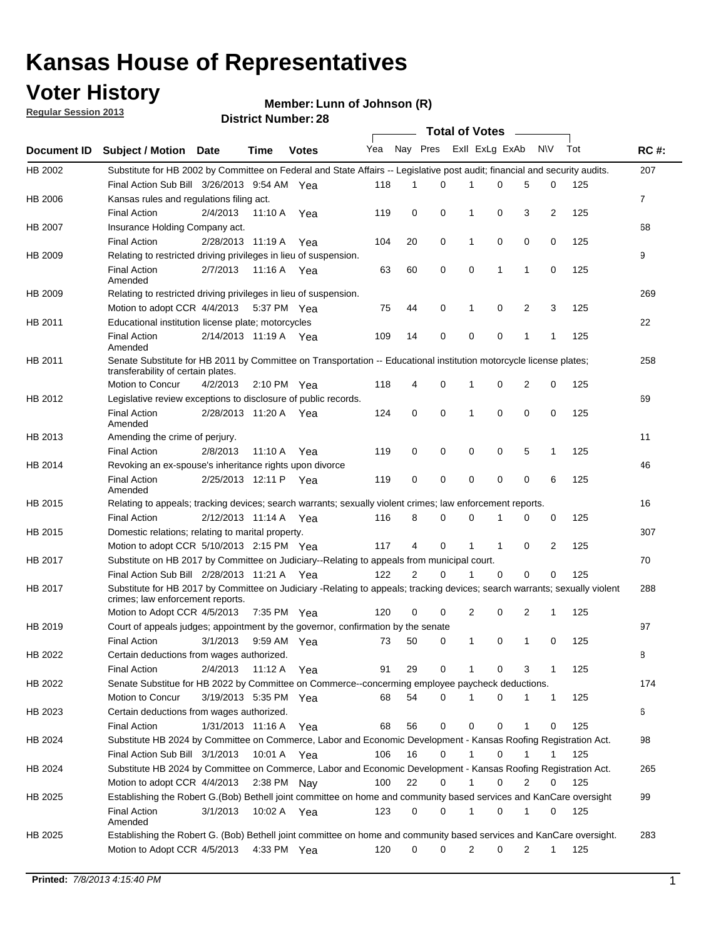#### **Voter History**

**Member: Lunn of Johnson (R)** 

**Regular Session 2013**

|                    |                                                                                                                            |                       |                       |              |                             |                |             | Total of Votes |             |   |          |     |             |
|--------------------|----------------------------------------------------------------------------------------------------------------------------|-----------------------|-----------------------|--------------|-----------------------------|----------------|-------------|----------------|-------------|---|----------|-----|-------------|
| <b>Document ID</b> | <b>Subject / Motion Date</b>                                                                                               |                       | <b>Time</b>           | <b>Votes</b> | Yea Nay Pres ExII ExLg ExAb |                |             |                |             |   | N\V      | Tot | <b>RC#:</b> |
| HB 2002            | Substitute for HB 2002 by Committee on Federal and State Affairs -- Legislative post audit; financial and security audits. |                       |                       |              |                             |                |             |                |             |   |          |     | 207         |
|                    | Final Action Sub Bill 3/26/2013 9:54 AM Yea                                                                                |                       |                       |              | 118                         | 1              | $\Omega$    | 1              | $\Omega$    | 5 | $\Omega$ | 125 |             |
| HB 2006            | Kansas rules and regulations filing act.                                                                                   |                       |                       |              |                             |                |             |                |             |   |          |     | 7           |
|                    | <b>Final Action</b>                                                                                                        | 2/4/2013              | 11:10 A               | Yea          | 119                         | 0              | 0           | 1              | 0           | 3 | 2        | 125 |             |
| HB 2007            | Insurance Holding Company act.                                                                                             |                       |                       |              |                             |                |             |                |             |   |          |     | 68          |
|                    | <b>Final Action</b>                                                                                                        | 2/28/2013 11:19 A     |                       | Yea          | 104                         | 20             | 0           | 1              | 0           | 0 | 0        | 125 |             |
| HB 2009            | Relating to restricted driving privileges in lieu of suspension.                                                           |                       |                       |              |                             |                |             |                |             |   |          |     | 9           |
|                    | <b>Final Action</b>                                                                                                        | 2/7/2013              | 11:16 A Yea           |              | 63                          | 60             | $\mathbf 0$ | 0              | 1           | 1 | 0        | 125 |             |
|                    | Amended                                                                                                                    |                       |                       |              |                             |                |             |                |             |   |          |     |             |
| HB 2009            | Relating to restricted driving privileges in lieu of suspension.                                                           |                       |                       |              |                             |                |             |                |             |   |          |     | 269         |
|                    | Motion to adopt CCR 4/4/2013                                                                                               |                       | 5:37 PM Yea           |              | 75                          | 44             | 0           | 1              | 0           | 2 | 3        | 125 |             |
| HB 2011            | Educational institution license plate; motorcycles                                                                         |                       |                       |              |                             |                |             |                |             |   |          |     | 22          |
|                    | <b>Final Action</b><br>Amended                                                                                             |                       | 2/14/2013 11:19 A Yea |              | 109                         | 14             | 0           | 0              | 0           | 1 | 1        | 125 |             |
| HB 2011            | Senate Substitute for HB 2011 by Committee on Transportation -- Educational institution motorcycle license plates;         |                       |                       |              |                             |                |             |                |             |   |          |     | 258         |
|                    | transferability of certain plates.                                                                                         |                       |                       |              |                             |                |             |                |             |   |          |     |             |
|                    | Motion to Concur                                                                                                           | 4/2/2013              | $2:10 \text{ PM}$ Yea |              | 118                         | 4              | 0           | $\mathbf 1$    | 0           | 2 | 0        | 125 |             |
| HB 2012            | Legislative review exceptions to disclosure of public records.                                                             |                       |                       |              |                             |                |             |                |             |   |          |     | 69          |
|                    | <b>Final Action</b><br>Amended                                                                                             | 2/28/2013 11:20 A Yea |                       |              | 124                         | $\mathbf 0$    | $\mathbf 0$ | 1              | $\Omega$    | 0 | 0        | 125 |             |
| HB 2013            | Amending the crime of perjury.                                                                                             |                       |                       |              |                             |                |             |                |             |   |          |     | 11          |
|                    | <b>Final Action</b>                                                                                                        | 2/8/2013              | 11:10 A               | Yea          | 119                         | 0              | 0           | 0              | 0           | 5 | 1        | 125 |             |
| HB 2014            | Revoking an ex-spouse's inheritance rights upon divorce                                                                    |                       |                       |              |                             |                |             |                |             |   |          |     | 46          |
|                    | <b>Final Action</b><br>Amended                                                                                             | 2/25/2013 12:11 P     |                       | Yea          | 119                         | 0              | 0           | 0              | 0           | 0 | 6        | 125 |             |
| HB 2015            | Relating to appeals; tracking devices; search warrants; sexually violent crimes; law enforcement reports.                  |                       |                       |              |                             |                |             |                |             |   |          |     | 16          |
|                    | <b>Final Action</b>                                                                                                        | 2/12/2013 11:14 A     |                       | Yea          | 116                         | 8              | 0           | 0              | 1           | 0 | 0        | 125 |             |
| HB 2015            | Domestic relations; relating to marital property.                                                                          |                       |                       |              |                             |                |             |                |             |   |          |     | 307         |
|                    | Motion to adopt CCR 5/10/2013 2:15 PM Yea                                                                                  |                       |                       |              | 117                         | 4              | $\mathbf 0$ | $\mathbf{1}$   | 1           | 0 | 2        | 125 |             |
| HB 2017            | Substitute on HB 2017 by Committee on Judiciary--Relating to appeals from municipal court.                                 |                       |                       |              |                             |                |             |                |             |   |          |     | 70          |
|                    | Final Action Sub Bill 2/28/2013 11:21 A Yea                                                                                |                       |                       |              | 122                         | $\overline{2}$ | 0           | 1              | $\Omega$    | 0 | 0        | 125 |             |
| HB 2017            | Substitute for HB 2017 by Committee on Judiciary -Relating to appeals; tracking devices; search warrants; sexually violent |                       |                       |              |                             |                |             |                |             |   |          |     | 288         |
|                    | crimes; law enforcement reports.                                                                                           |                       |                       |              |                             |                |             |                |             |   |          |     |             |
|                    | Motion to Adopt CCR 4/5/2013 7:35 PM Yea                                                                                   |                       |                       |              | 120                         | 0              | 0           | 2              | 0           | 2 | 1        | 125 |             |
| HB 2019            | Court of appeals judges; appointment by the governor, confirmation by the senate                                           |                       |                       |              |                             |                |             |                |             |   |          |     | 97          |
|                    | <b>Final Action</b>                                                                                                        | 3/1/2013              | 9:59 AM Yea           |              | 73                          | 50             | 0           | $\mathbf{1}$   | 0           | 1 | 0        | 125 |             |
| HB 2022            | Certain deductions from wages authorized.                                                                                  |                       |                       |              |                             |                |             |                |             |   |          |     | В           |
|                    | <b>Final Action</b>                                                                                                        | 2/4/2013              | 11:12 A               | Yea          | 91                          | 29             | 0           | 1              | 0           | 3 | 1        | 125 |             |
| HB 2022            | Senate Substitue for HB 2022 by Committee on Commerce--concerming employee paycheck deductions.                            |                       |                       |              |                             |                |             |                |             |   |          |     | 174         |
|                    | Motion to Concur                                                                                                           | 3/19/2013 5:35 PM Yea |                       |              |                             | 54             | 0           | 1              | 0           | 1 | 1        |     |             |
|                    |                                                                                                                            |                       |                       |              | 68                          |                |             |                |             |   |          | 125 |             |
| HB 2023            | Certain deductions from wages authorized.                                                                                  |                       |                       |              |                             |                |             |                |             |   |          |     | 6           |
|                    | <b>Final Action</b>                                                                                                        |                       | 1/31/2013 11:16 A Yea |              | 68                          | 56             | 0           | 0              | 0           | 1 | 0        | 125 |             |
| HB 2024            | Substitute HB 2024 by Committee on Commerce, Labor and Economic Development - Kansas Roofing Registration Act.             |                       |                       |              |                             |                |             |                |             |   |          |     | 98          |
|                    | Final Action Sub Bill 3/1/2013                                                                                             |                       | 10:01 A Yea           |              | 106                         | 16             | 0           | $\mathbf{1}$   | $\mathbf 0$ | 1 | 1        | 125 |             |
| HB 2024            | Substitute HB 2024 by Committee on Commerce, Labor and Economic Development - Kansas Roofing Registration Act.             |                       |                       |              |                             |                |             |                |             |   |          |     | 265         |
|                    | Motion to adopt CCR 4/4/2013 2:38 PM Nay                                                                                   |                       |                       |              | 100                         | 22             | 0           | $\mathbf{1}$   | 0           | 2 | 0        | 125 |             |
| HB 2025            | Establishing the Robert G.(Bob) Bethell joint committee on home and community based services and KanCare oversight         |                       |                       |              |                             |                |             |                |             |   |          |     | 99          |
|                    | <b>Final Action</b><br>Amended                                                                                             | 3/1/2013              | 10:02 A Yea           |              | 123                         | $\mathbf 0$    | 0           | $\mathbf{1}$   | 0           | 1 | 0        | 125 |             |
| HB 2025            | Establishing the Robert G. (Bob) Bethell joint committee on home and community based services and KanCare oversight.       |                       |                       |              |                             |                |             |                |             |   |          |     | 283         |
|                    | Motion to Adopt CCR 4/5/2013                                                                                               |                       | 4:33 PM Yea           |              | 120                         | 0              | 0           | $\overline{2}$ | 0           | 2 | 1        | 125 |             |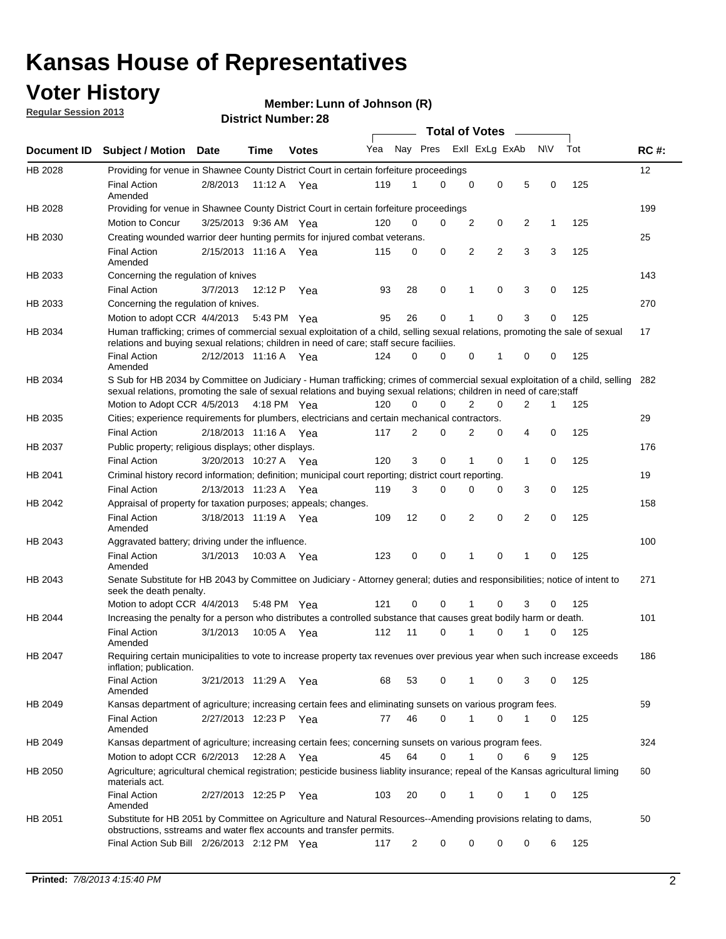### **Voter History**

**Member: Lunn of Johnson (R)** 

**Regular Session 2013**

|                    |                                                                                                                                                                                                                                                       |                       |         |              |     |                         | <b>Total of Votes</b> |                |   |                |           |     |             |
|--------------------|-------------------------------------------------------------------------------------------------------------------------------------------------------------------------------------------------------------------------------------------------------|-----------------------|---------|--------------|-----|-------------------------|-----------------------|----------------|---|----------------|-----------|-----|-------------|
| <b>Document ID</b> | <b>Subject / Motion Date</b>                                                                                                                                                                                                                          |                       | Time    | <b>Votes</b> | Yea | Nay Pres Exll ExLg ExAb |                       |                |   |                | <b>NV</b> | Tot | <b>RC#:</b> |
| HB 2028            | Providing for venue in Shawnee County District Court in certain forfeiture proceedings                                                                                                                                                                |                       |         |              |     |                         |                       |                |   |                |           |     | 12          |
|                    | <b>Final Action</b><br>Amended                                                                                                                                                                                                                        | 2/8/2013              | 11:12 A | Yea          | 119 | 1                       | 0                     | 0              | 0 | 5              | 0         | 125 |             |
| HB 2028            | Providing for venue in Shawnee County District Court in certain forfeiture proceedings                                                                                                                                                                |                       |         |              |     |                         |                       |                |   |                |           |     | 199         |
|                    | Motion to Concur                                                                                                                                                                                                                                      | 3/25/2013 9:36 AM Yea |         |              | 120 | 0                       | 0                     | 2              | 0 | 2              | 1         | 125 |             |
| HB 2030            | Creating wounded warrior deer hunting permits for injured combat veterans.                                                                                                                                                                            |                       |         |              |     |                         |                       |                |   |                |           |     | 25          |
|                    | <b>Final Action</b><br>Amended                                                                                                                                                                                                                        | 2/15/2013 11:16 A Yea |         |              | 115 | 0                       | 0                     | 2              | 2 | 3              | 3         | 125 |             |
| HB 2033            | Concerning the regulation of knives                                                                                                                                                                                                                   |                       |         |              |     |                         |                       |                |   |                |           |     | 143         |
|                    | <b>Final Action</b>                                                                                                                                                                                                                                   | 3/7/2013              | 12:12 P | Yea          | 93  | 28                      | 0                     | 1              | 0 | 3              | 0         | 125 |             |
| HB 2033            | Concerning the regulation of knives.                                                                                                                                                                                                                  |                       |         |              |     |                         |                       |                |   |                |           |     | 270         |
|                    | Motion to adopt CCR 4/4/2013                                                                                                                                                                                                                          |                       |         | 5:43 PM Yea  | 95  | 26                      | 0                     |                | 0 | 3              | 0         | 125 |             |
| HB 2034            | Human trafficking; crimes of commercial sexual exploitation of a child, selling sexual relations, promoting the sale of sexual<br>relations and buying sexual relations; children in need of care; staff secure faciliies.                            |                       |         |              |     |                         |                       |                |   |                |           |     | 17          |
|                    | <b>Final Action</b><br>Amended                                                                                                                                                                                                                        | 2/12/2013 11:16 A Yea |         |              | 124 | 0                       | 0                     | 0              | 1 | 0              | 0         | 125 |             |
| HB 2034            | S Sub for HB 2034 by Committee on Judiciary - Human trafficking; crimes of commercial sexual exploitation of a child, selling<br>sexual relations, promoting the sale of sexual relations and buying sexual relations; children in need of care;staff |                       |         |              |     |                         |                       |                |   |                |           |     | 282         |
|                    | Motion to Adopt CCR 4/5/2013 4:18 PM Yea                                                                                                                                                                                                              |                       |         |              | 120 | 0                       | 0                     | $\overline{2}$ | 0 | $\overline{2}$ | 1         | 125 |             |
| HB 2035            | Cities; experience requirements for plumbers, electricians and certain mechanical contractors.                                                                                                                                                        |                       |         |              |     |                         |                       |                |   |                |           |     | 29          |
|                    | <b>Final Action</b>                                                                                                                                                                                                                                   | 2/18/2013 11:16 A     |         | Yea          | 117 | 2                       | 0                     | 2              | 0 | 4              | 0         | 125 |             |
| HB 2037            | Public property; religious displays; other displays.                                                                                                                                                                                                  |                       |         |              |     |                         |                       |                |   |                |           |     | 176         |
|                    | <b>Final Action</b>                                                                                                                                                                                                                                   | 3/20/2013 10:27 A     |         | Yea          | 120 | 3                       | 0                     |                | 0 | 1              | 0         | 125 |             |
| HB 2041            | Criminal history record information; definition; municipal court reporting; district court reporting.                                                                                                                                                 |                       |         |              |     |                         |                       |                |   |                |           |     | 19          |
|                    | <b>Final Action</b>                                                                                                                                                                                                                                   | 2/13/2013 11:23 A     |         | Yea          | 119 | 3                       | 0                     | $\Omega$       | 0 | 3              | 0         | 125 |             |
| HB 2042            | Appraisal of property for taxation purposes; appeals; changes.                                                                                                                                                                                        |                       |         |              |     |                         |                       |                |   |                |           |     | 158         |
|                    | <b>Final Action</b><br>Amended                                                                                                                                                                                                                        | 3/18/2013 11:19 A Yea |         |              | 109 | 12                      | 0                     | 2              | 0 | 2              | 0         | 125 |             |
| HB 2043            | Aggravated battery; driving under the influence.                                                                                                                                                                                                      |                       |         |              |     |                         |                       |                |   |                |           |     | 100         |
|                    | <b>Final Action</b><br>Amended                                                                                                                                                                                                                        | 3/1/2013              |         | 10:03 A Yea  | 123 | 0                       | 0                     | 1              | 0 | 1              | 0         | 125 |             |
| HB 2043            | Senate Substitute for HB 2043 by Committee on Judiciary - Attorney general; duties and responsibilities; notice of intent to<br>seek the death penalty.                                                                                               |                       |         |              |     |                         |                       |                |   |                |           |     | 271         |
|                    | Motion to adopt CCR 4/4/2013                                                                                                                                                                                                                          |                       |         | 5:48 PM Yea  | 121 | 0                       | 0                     | 1              | 0 | 3              | 0         | 125 |             |
| HB 2044            | Increasing the penalty for a person who distributes a controlled substance that causes great bodily harm or death.                                                                                                                                    |                       |         |              |     |                         |                       |                |   |                |           |     | 101         |
|                    | <b>Final Action</b><br>Amended                                                                                                                                                                                                                        | 3/1/2013              | 10:05 A | Yea          | 112 | 11                      | 0                     | 1              | 0 | 1              | 0         | 125 |             |
| HB 2047            | Requiring certain municipalities to vote to increase property tax revenues over previous year when such increase exceeds<br>inflation; publication.                                                                                                   |                       |         |              |     |                         |                       |                |   |                |           |     | 186         |
|                    | <b>Final Action</b><br>Amended                                                                                                                                                                                                                        | 3/21/2013 11:29 A Yea |         |              | 68  | 53                      | 0                     | 1              | 0 | 3              | 0         | 125 |             |
| HB 2049            | Kansas department of agriculture; increasing certain fees and eliminating sunsets on various program fees.                                                                                                                                            |                       |         |              |     |                         |                       |                |   |                |           |     | 59          |
|                    | <b>Final Action</b><br>Amended                                                                                                                                                                                                                        | 2/27/2013 12:23 P     |         | Yea          | 77  | 46                      | 0                     | 1              | 0 |                | 0         | 125 |             |
| HB 2049            | Kansas department of agriculture; increasing certain fees; concerning sunsets on various program fees.                                                                                                                                                |                       |         |              |     |                         |                       |                |   |                |           |     | 324         |
|                    | Motion to adopt CCR 6/2/2013                                                                                                                                                                                                                          |                       | 12:28 A | Yea          | 45  | 64                      | 0                     | 1              | 0 | 6              | 9         | 125 |             |
| HB 2050            | Agriculture; agricultural chemical registration; pesticide business liablity insurance; repeal of the Kansas agricultural liming<br>materials act.                                                                                                    |                       |         |              |     |                         |                       |                |   |                |           |     | 60          |
|                    | <b>Final Action</b><br>Amended                                                                                                                                                                                                                        | 2/27/2013 12:25 P     |         | Yea          | 103 | 20                      | 0                     |                | 0 | 1              | 0         | 125 |             |
| HB 2051            | Substitute for HB 2051 by Committee on Agriculture and Natural Resources--Amending provisions relating to dams,<br>obstructions, sstreams and water flex accounts and transfer permits.                                                               |                       |         |              |     |                         |                       |                |   |                |           |     | 50          |
|                    | Final Action Sub Bill 2/26/2013 2:12 PM Yea                                                                                                                                                                                                           |                       |         |              | 117 | $\overline{c}$          | 0                     | 0              | 0 | 0              | 6         | 125 |             |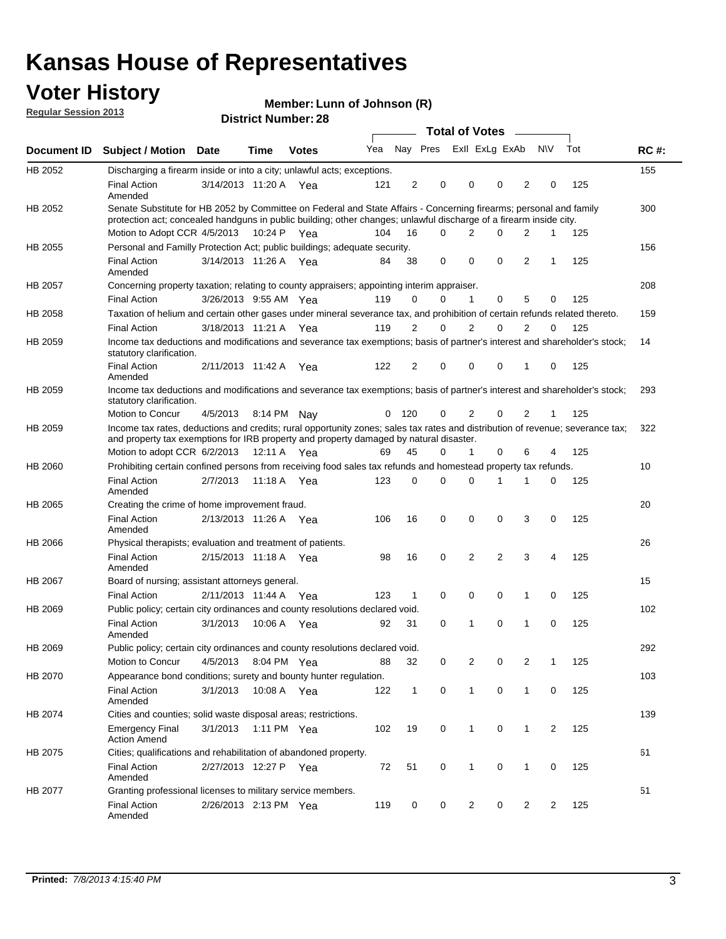#### **Voter History**

**Member: Lunn of Johnson (R)** 

**Regular Session 2013**

|             |                                                                                                                                                                                                                                          |                       |         |              |     |              |                         | <b>Total of Votes</b> |                |                | $\frac{1}{2}$  |                |     |             |
|-------------|------------------------------------------------------------------------------------------------------------------------------------------------------------------------------------------------------------------------------------------|-----------------------|---------|--------------|-----|--------------|-------------------------|-----------------------|----------------|----------------|----------------|----------------|-----|-------------|
| Document ID | <b>Subject / Motion Date</b>                                                                                                                                                                                                             |                       | Time    | <b>Votes</b> | Yea |              | Nay Pres Exll ExLg ExAb |                       |                |                |                | <b>NV</b>      | Tot | <b>RC#:</b> |
| HB 2052     | Discharging a firearm inside or into a city; unlawful acts; exceptions.                                                                                                                                                                  |                       |         |              |     |              |                         |                       |                |                |                |                |     | 155         |
|             | <b>Final Action</b><br>Amended                                                                                                                                                                                                           | 3/14/2013 11:20 A Yea |         |              | 121 | 2            | 0                       |                       | 0              | 0              | 2              | 0              | 125 |             |
| HB 2052     | Senate Substitute for HB 2052 by Committee on Federal and State Affairs - Concerning firearms; personal and family<br>protection act; concealed handguns in public building; other changes; unlawful discharge of a firearm inside city. |                       |         |              |     |              |                         |                       |                |                |                |                |     | 300         |
|             | Motion to Adopt CCR 4/5/2013 10:24 P Yea                                                                                                                                                                                                 |                       |         |              | 104 | 16           | $\Omega$                |                       | 2              | 0              | $\overline{2}$ | $\mathbf 1$    | 125 |             |
| HB 2055     | Personal and Familly Protection Act; public buildings; adequate security.                                                                                                                                                                |                       |         |              |     |              |                         |                       |                |                |                |                |     | 156         |
|             | <b>Final Action</b><br>Amended                                                                                                                                                                                                           | 3/14/2013 11:26 A Yea |         |              | 84  | 38           | 0                       |                       | $\mathbf 0$    | 0              | 2              | $\mathbf 1$    | 125 |             |
| HB 2057     | Concerning property taxation; relating to county appraisers; appointing interim appraiser.                                                                                                                                               |                       |         |              |     |              |                         |                       |                |                |                |                |     | 208         |
|             | <b>Final Action</b>                                                                                                                                                                                                                      | 3/26/2013 9:55 AM Yea |         |              | 119 | 0            | 0                       |                       | $\mathbf{1}$   | 0              | 5              | 0              | 125 |             |
| HB 2058     | Taxation of helium and certain other gases under mineral severance tax, and prohibition of certain refunds related thereto.                                                                                                              |                       |         |              |     |              |                         |                       |                |                |                |                |     | 159         |
|             | <b>Final Action</b>                                                                                                                                                                                                                      | 3/18/2013 11:21 A Yea |         |              | 119 | 2            | 0                       |                       | 2              | $\Omega$       | $\overline{2}$ | $\Omega$       | 125 |             |
| HB 2059     | Income tax deductions and modifications and severance tax exemptions; basis of partner's interest and shareholder's stock;<br>statutory clarification.                                                                                   |                       |         |              |     |              |                         |                       |                |                |                |                |     | 14          |
|             | <b>Final Action</b><br>Amended                                                                                                                                                                                                           | 2/11/2013 11:42 A     |         | Yea          | 122 | 2            | 0                       |                       | 0              | 0              | 1              | 0              | 125 |             |
| HB 2059     | Income tax deductions and modifications and severance tax exemptions; basis of partner's interest and shareholder's stock;<br>statutory clarification.                                                                                   |                       |         |              |     |              |                         |                       |                |                |                |                |     | 293         |
|             | Motion to Concur                                                                                                                                                                                                                         | 4/5/2013              | 8:14 PM | Nav          | 0   | 120          | 0                       |                       | 2              | 0              | 2              | 1              | 125 |             |
| HB 2059     | Income tax rates, deductions and credits; rural opportunity zones; sales tax rates and distribution of revenue; severance tax;<br>and property tax exemptions for IRB property and property damaged by natural disaster.                 |                       |         |              |     |              |                         |                       |                |                |                |                |     | 322         |
|             | Motion to adopt CCR 6/2/2013                                                                                                                                                                                                             |                       | 12:11 A | Yea          | 69  | 45           | 0                       |                       | 1              | 0              | 6              | 4              | 125 |             |
| HB 2060     | Prohibiting certain confined persons from receiving food sales tax refunds and homestead property tax refunds.                                                                                                                           |                       |         |              |     |              |                         |                       |                |                |                |                |     | 10          |
|             | <b>Final Action</b><br>Amended                                                                                                                                                                                                           | 2/7/2013              | 11:18 A | Yea          | 123 | 0            | 0                       |                       | $\Omega$       | 1              | 1              | 0              | 125 |             |
| HB 2065     | Creating the crime of home improvement fraud.                                                                                                                                                                                            |                       |         |              |     |              |                         |                       |                |                |                |                |     | 20          |
|             | <b>Final Action</b><br>Amended                                                                                                                                                                                                           | 2/13/2013 11:26 A Yea |         |              | 106 | 16           | $\mathbf 0$             |                       | 0              | 0              | 3              | 0              | 125 |             |
| HB 2066     | Physical therapists; evaluation and treatment of patients.                                                                                                                                                                               |                       |         |              |     |              |                         |                       |                |                |                |                |     | 26          |
|             | <b>Final Action</b><br>Amended                                                                                                                                                                                                           | 2/15/2013 11:18 A Yea |         |              | 98  | 16           | 0                       |                       | 2              | $\overline{2}$ | 3              | 4              | 125 |             |
| HB 2067     | Board of nursing; assistant attorneys general.                                                                                                                                                                                           |                       |         |              |     |              |                         |                       |                |                |                |                |     | 15          |
|             | <b>Final Action</b>                                                                                                                                                                                                                      | 2/11/2013 11:44 A     |         | Yea          | 123 | 1            | $\mathbf 0$             |                       | $\mathbf 0$    | 0              | 1              | 0              | 125 |             |
| HB 2069     | Public policy; certain city ordinances and county resolutions declared void.                                                                                                                                                             |                       |         |              |     |              |                         |                       |                |                |                |                |     | 102         |
|             | <b>Final Action</b><br>Amended                                                                                                                                                                                                           | 3/1/2013              | 10:06 A | Yea          | 92  | 31           | $\mathbf 0$             |                       | 1              | 0              | 1              | $\mathbf 0$    | 125 |             |
| HB 2069     | Public policy; certain city ordinances and county resolutions declared void.                                                                                                                                                             |                       |         |              |     |              |                         |                       |                |                |                |                |     | 292         |
|             | Motion to Concur                                                                                                                                                                                                                         | 4/5/2013              |         | 8:04 PM Yea  | 88  | 32           | 0                       |                       | $\overline{2}$ | 0              | 2              | 1              | 125 |             |
| HB 2070     | Appearance bond conditions; surety and bounty hunter regulation.                                                                                                                                                                         |                       |         |              |     |              |                         |                       |                |                |                |                |     | 103         |
|             | <b>Final Action</b><br>Amended                                                                                                                                                                                                           | 3/1/2013              |         | 10:08 A Yea  | 122 | $\mathbf{1}$ | $\mathbf 0$             |                       | $\mathbf{1}$   | 0              | $\mathbf{1}$   | 0              | 125 |             |
| HB 2074     | Cities and counties; solid waste disposal areas; restrictions.                                                                                                                                                                           |                       |         |              |     |              |                         |                       |                |                |                |                |     | 139         |
|             | <b>Emergency Final</b><br><b>Action Amend</b>                                                                                                                                                                                            | 3/1/2013              |         | 1:11 PM Yea  | 102 | 19           | 0                       |                       | $\mathbf{1}$   | 0              | 1              | $\overline{2}$ | 125 |             |
| HB 2075     | Cities; qualifications and rehabilitation of abandoned property.                                                                                                                                                                         |                       |         |              |     |              |                         |                       |                |                |                |                |     | 61          |
|             | <b>Final Action</b><br>Amended                                                                                                                                                                                                           | 2/27/2013 12:27 P     |         | Yea          | 72  | 51           | 0                       |                       | 1              | 0              | 1              | 0              | 125 |             |
| HB 2077     | Granting professional licenses to military service members.<br><b>Final Action</b><br>Amended                                                                                                                                            | 2/26/2013 2:13 PM Yea |         |              | 119 | 0            | 0                       |                       | $\overline{2}$ | 0              | $\overline{2}$ | 2              | 125 | 51          |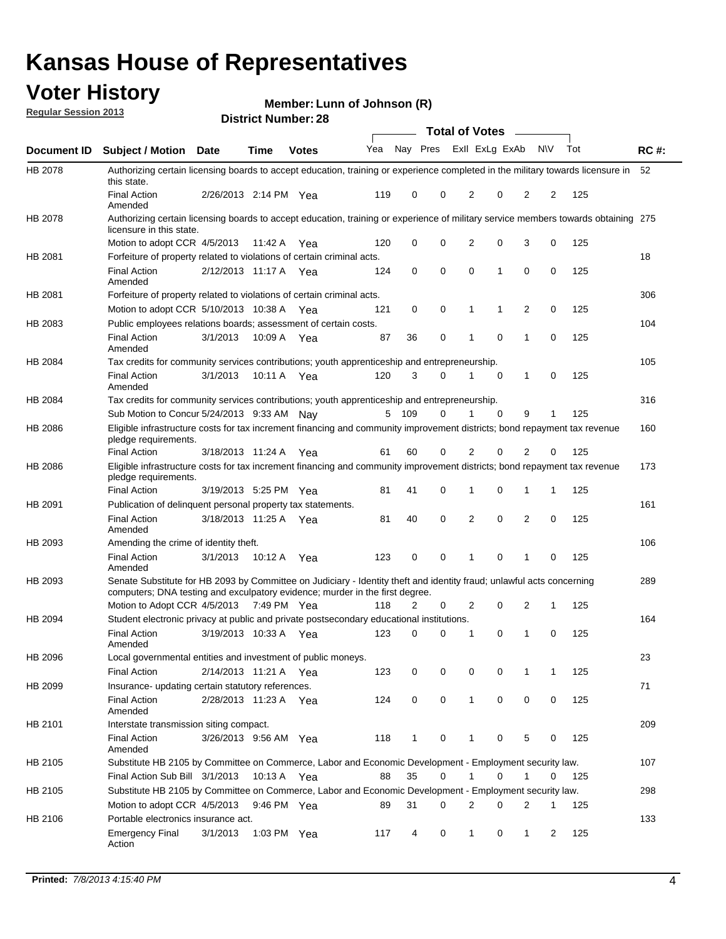#### **Voter History**

**Member: Lunn of Johnson (R)** 

**Regular Session 2013**

|                    |                                                                                                                                                                                                       |                       |             | PIJU IVI INUIIIVU . LU |              |              |   | <b>Total of Votes</b> |             | $\overline{\phantom{a}}$ |             |     |             |
|--------------------|-------------------------------------------------------------------------------------------------------------------------------------------------------------------------------------------------------|-----------------------|-------------|------------------------|--------------|--------------|---|-----------------------|-------------|--------------------------|-------------|-----|-------------|
| <b>Document ID</b> | <b>Subject / Motion Date</b>                                                                                                                                                                          |                       | <b>Time</b> | <b>Votes</b>           | Yea Nay Pres |              |   | Exll ExLg ExAb        |             |                          | <b>NV</b>   | Tot | <b>RC#:</b> |
| HB 2078            | Authorizing certain licensing boards to accept education, training or experience completed in the military towards licensure in<br>this state.                                                        |                       |             |                        |              |              |   |                       |             |                          |             |     | 52          |
|                    | <b>Final Action</b><br>Amended                                                                                                                                                                        | 2/26/2013 2:14 PM Yea |             |                        | 119          | 0            | 0 | 2                     | 0           | 2                        | 2           | 125 |             |
| HB 2078            | Authorizing certain licensing boards to accept education, training or experience of military service members towards obtaining 275<br>licensure in this state.                                        |                       |             |                        |              |              |   |                       |             |                          |             |     |             |
|                    | Motion to adopt CCR 4/5/2013                                                                                                                                                                          |                       | 11:42 A     | Yea                    | 120          | 0            | 0 | $\overline{2}$        | 0           | 3                        | 0           | 125 |             |
| HB 2081            | Forfeiture of property related to violations of certain criminal acts.                                                                                                                                |                       |             |                        |              |              |   |                       |             |                          |             |     | 18          |
|                    | <b>Final Action</b><br>Amended                                                                                                                                                                        | 2/12/2013 11:17 A Yea |             |                        | 124          | 0            | 0 | $\Omega$              | 1           | 0                        | 0           | 125 |             |
| HB 2081            | Forfeiture of property related to violations of certain criminal acts.                                                                                                                                |                       |             |                        |              |              |   |                       |             |                          |             |     | 306         |
|                    | Motion to adopt CCR 5/10/2013 10:38 A                                                                                                                                                                 |                       |             | Yea                    | 121          | 0            | 0 | 1                     | 1           | 2                        | 0           | 125 |             |
| HB 2083            | Public employees relations boards; assessment of certain costs.                                                                                                                                       |                       |             |                        |              |              |   |                       |             |                          |             |     | 104         |
|                    | <b>Final Action</b><br>Amended                                                                                                                                                                        | 3/1/2013              | 10:09 A     | Yea                    | 87           | 36           | 0 | 1                     | $\mathbf 0$ | 1                        | $\mathbf 0$ | 125 |             |
| HB 2084            | Tax credits for community services contributions; youth apprenticeship and entrepreneurship.                                                                                                          |                       |             |                        |              |              |   |                       |             |                          |             |     | 105         |
|                    | <b>Final Action</b><br>Amended                                                                                                                                                                        | 3/1/2013              | 10:11 A     | Yea                    | 120          | 3            | 0 | 1                     | $\mathbf 0$ | 1                        | 0           | 125 |             |
| HB 2084            | Tax credits for community services contributions; youth apprenticeship and entrepreneurship.                                                                                                          |                       |             |                        |              |              |   |                       |             |                          |             |     | 316         |
|                    | Sub Motion to Concur 5/24/2013 9:33 AM Nav                                                                                                                                                            |                       |             |                        | 5            | - 109        | 0 |                       | $\Omega$    | 9                        | 1           | 125 |             |
| HB 2086            | Eligible infrastructure costs for tax increment financing and community improvement districts; bond repayment tax revenue<br>pledge requirements.                                                     |                       |             |                        |              |              |   |                       |             |                          |             |     | 160         |
|                    | <b>Final Action</b>                                                                                                                                                                                   | 3/18/2013 11:24 A     |             | Yea                    | 61           | 60           | 0 | 2                     | 0           | $\overline{2}$           | 0           | 125 |             |
| HB 2086            | Eligible infrastructure costs for tax increment financing and community improvement districts; bond repayment tax revenue<br>pledge requirements.                                                     |                       |             |                        |              |              |   |                       |             |                          |             |     | 173         |
|                    | <b>Final Action</b>                                                                                                                                                                                   | 3/19/2013 5:25 PM Yea |             |                        | 81           | 41           | 0 | 1                     | 0           | 1                        | 1           | 125 |             |
| HB 2091            | Publication of delinguent personal property tax statements.                                                                                                                                           |                       |             |                        |              |              |   |                       |             |                          |             |     | 161         |
|                    | <b>Final Action</b><br>Amended                                                                                                                                                                        | 3/18/2013 11:25 A     |             | Yea                    | 81           | 40           | 0 | 2                     | 0           | $\overline{2}$           | 0           | 125 |             |
| HB 2093            | Amending the crime of identity theft.                                                                                                                                                                 |                       |             |                        |              |              |   |                       |             |                          |             |     | 106         |
|                    | <b>Final Action</b><br>Amended                                                                                                                                                                        | 3/1/2013              | 10:12 A     | Yea                    | 123          | 0            | 0 | 1                     | $\Omega$    | 1                        | 0           | 125 |             |
| HB 2093            | Senate Substitute for HB 2093 by Committee on Judiciary - Identity theft and identity fraud; unlawful acts concerning<br>computers; DNA testing and exculpatory evidence; murder in the first degree. |                       |             |                        |              |              |   |                       |             |                          |             |     | 289         |
|                    | Motion to Adopt CCR 4/5/2013 7:49 PM Yea                                                                                                                                                              |                       |             |                        | 118          | 2            | 0 | 2                     | 0           | 2                        | 1           | 125 |             |
| HB 2094            | Student electronic privacy at public and private postsecondary educational institutions.                                                                                                              |                       |             |                        |              |              |   |                       |             |                          |             |     | 164         |
|                    | <b>Final Action</b><br>Amended                                                                                                                                                                        | 3/19/2013 10:33 A     |             | Yea                    | 123          | 0            | 0 | 1                     | 0           | 1                        | 0           | 125 |             |
| HB 2096            | Local governmental entities and investment of public moneys.                                                                                                                                          |                       |             |                        |              |              |   |                       |             |                          |             |     | 23          |
|                    | <b>Final Action</b>                                                                                                                                                                                   | 2/14/2013 11:21 A     |             | Yea                    | 123          | 0            | 0 | 0                     | 0           | 1                        | 1           | 125 |             |
| HB 2099            | Insurance- updating certain statutory references.                                                                                                                                                     |                       |             |                        |              |              |   |                       |             |                          |             |     | 71          |
|                    | <b>Final Action</b><br>Amended                                                                                                                                                                        | 2/28/2013 11:23 A     |             | Yea                    | 124          | 0            | 0 | 1                     | 0           | 0                        | 0           | 125 |             |
| HB 2101            | Interstate transmission siting compact.                                                                                                                                                               |                       |             |                        |              |              |   |                       |             |                          |             |     | 209         |
|                    | <b>Final Action</b><br>Amended                                                                                                                                                                        | 3/26/2013 9:56 AM Yea |             |                        | 118          | $\mathbf{1}$ | 0 | 1                     | 0           | 5                        | 0           | 125 |             |
| HB 2105            | Substitute HB 2105 by Committee on Commerce, Labor and Economic Development - Employment security law.                                                                                                |                       |             |                        |              |              |   |                       |             |                          |             |     | 107         |
|                    | Final Action Sub Bill 3/1/2013                                                                                                                                                                        |                       | 10:13 A Yea |                        | 88           | 35           | 0 |                       | 0           | 1                        | 0           | 125 |             |
| HB 2105            | Substitute HB 2105 by Committee on Commerce, Labor and Economic Development - Employment security law.                                                                                                |                       |             |                        |              |              |   |                       |             |                          |             |     | 298         |
|                    | Motion to adopt CCR 4/5/2013                                                                                                                                                                          |                       | 9:46 PM Yea |                        | 89           | 31           | 0 | 2                     | 0           | 2                        | 1           | 125 |             |
| HB 2106            | Portable electronics insurance act.                                                                                                                                                                   |                       |             |                        |              |              |   |                       |             |                          |             |     | 133         |
|                    | <b>Emergency Final</b><br>Action                                                                                                                                                                      | 3/1/2013              |             | 1:03 PM Yea            | 117          | 4            | 0 | $\mathbf{1}$          | 0           | $\mathbf{1}$             | 2           | 125 |             |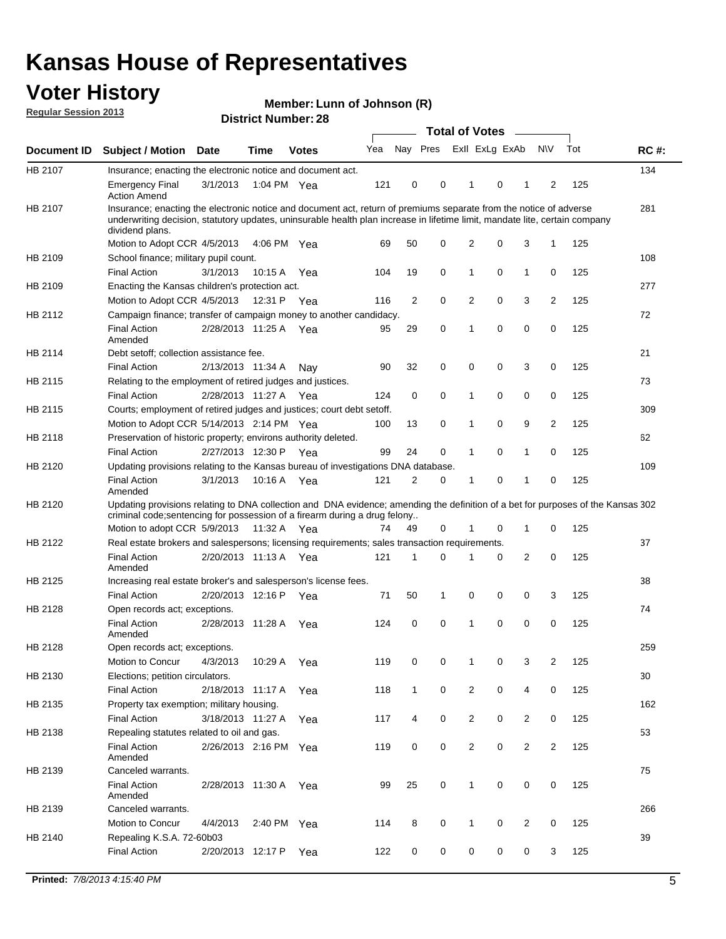#### **Voter History**

**Member: Lunn of Johnson (R)** 

**Regular Session 2013**

|             |                                                                                                                                                                                                                                                                      |                       |             |              |     |              |   | <b>Total of Votes</b>   |   | $\frac{1}{2}$  |                |     |             |
|-------------|----------------------------------------------------------------------------------------------------------------------------------------------------------------------------------------------------------------------------------------------------------------------|-----------------------|-------------|--------------|-----|--------------|---|-------------------------|---|----------------|----------------|-----|-------------|
| Document ID | <b>Subject / Motion</b>                                                                                                                                                                                                                                              | <b>Date</b>           | <b>Time</b> | <b>Votes</b> | Yea |              |   | Nay Pres Exll ExLg ExAb |   |                | <b>NV</b>      | Tot | <b>RC#:</b> |
| HB 2107     | Insurance; enacting the electronic notice and document act.                                                                                                                                                                                                          |                       |             |              |     |              |   |                         |   |                |                |     | 134         |
|             | <b>Emergency Final</b><br><b>Action Amend</b>                                                                                                                                                                                                                        | 3/1/2013              | 1:04 PM Yea |              | 121 | 0            | 0 | 1                       | 0 | 1              | 2              | 125 |             |
| HB 2107     | Insurance; enacting the electronic notice and document act, return of premiums separate from the notice of adverse<br>underwriting decision, statutory updates, uninsurable health plan increase in lifetime limit, mandate lite, certain company<br>dividend plans. |                       |             |              |     |              |   |                         |   |                |                |     | 281         |
|             | Motion to Adopt CCR 4/5/2013                                                                                                                                                                                                                                         |                       | 4:06 PM Yea |              | 69  | 50           | 0 | 2                       | 0 | 3              | 1              | 125 |             |
| HB 2109     | School finance; military pupil count.                                                                                                                                                                                                                                |                       |             |              |     |              |   |                         |   |                |                |     | 108         |
|             | <b>Final Action</b>                                                                                                                                                                                                                                                  | 3/1/2013              | 10:15 A     | Yea          | 104 | 19           | 0 | 1                       | 0 | $\mathbf{1}$   | 0              | 125 |             |
| HB 2109     | Enacting the Kansas children's protection act.                                                                                                                                                                                                                       |                       |             |              |     |              |   |                         |   |                |                |     | 277         |
|             | Motion to Adopt CCR 4/5/2013                                                                                                                                                                                                                                         |                       | 12:31 P Yea |              | 116 | 2            | 0 | 2                       | 0 | 3              | 2              | 125 |             |
| HB 2112     | Campaign finance; transfer of campaign money to another candidacy.                                                                                                                                                                                                   |                       |             |              |     |              |   |                         |   |                |                |     | 72          |
|             | <b>Final Action</b><br>Amended                                                                                                                                                                                                                                       | 2/28/2013 11:25 A Yea |             |              | 95  | 29           | 0 | 1                       | 0 | 0              | 0              | 125 |             |
| HB 2114     | Debt setoff; collection assistance fee.                                                                                                                                                                                                                              |                       |             |              |     |              |   |                         |   |                |                |     | 21          |
|             | <b>Final Action</b>                                                                                                                                                                                                                                                  | 2/13/2013 11:34 A     |             | Nay          | 90  | 32           | 0 | 0                       | 0 | 3              | 0              | 125 |             |
| HB 2115     | Relating to the employment of retired judges and justices.                                                                                                                                                                                                           |                       |             |              |     |              |   |                         |   |                |                |     | 73          |
|             | <b>Final Action</b>                                                                                                                                                                                                                                                  | 2/28/2013 11:27 A     |             | Yea          | 124 | 0            | 0 | 1                       | 0 | 0              | 0              | 125 |             |
| HB 2115     | Courts; employment of retired judges and justices; court debt setoff.                                                                                                                                                                                                |                       |             |              |     |              |   |                         |   |                |                |     | 309         |
|             | Motion to Adopt CCR 5/14/2013 2:14 PM Yea                                                                                                                                                                                                                            |                       |             |              | 100 | 13           | 0 | 1                       | 0 | 9              | $\overline{2}$ | 125 |             |
| HB 2118     | Preservation of historic property; environs authority deleted.                                                                                                                                                                                                       |                       |             |              |     |              |   |                         |   |                |                |     | 62          |
|             | <b>Final Action</b>                                                                                                                                                                                                                                                  | 2/27/2013 12:30 P     |             | Yea          | 99  | 24           | 0 | 1                       | 0 | 1              | 0              | 125 |             |
| HB 2120     | Updating provisions relating to the Kansas bureau of investigations DNA database.                                                                                                                                                                                    |                       |             |              |     |              |   |                         |   |                |                |     | 109         |
|             | <b>Final Action</b><br>Amended                                                                                                                                                                                                                                       | 3/1/2013              | 10:16 A     | Yea          | 121 | 2            | 0 | 1                       | 0 | 1              | 0              | 125 |             |
| HB 2120     | Updating provisions relating to DNA collection and DNA evidence; amending the definition of a bet for purposes of the Kansas 302<br>criminal code; sentencing for possession of a firearm during a drug felony<br>Motion to adopt CCR 5/9/2013 11:32 A Yea           |                       |             |              | 74  | 49           | 0 | 1                       | 0 | 1              | 0              | 125 |             |
| HB 2122     | Real estate brokers and salespersons; licensing requirements; sales transaction requirements.                                                                                                                                                                        |                       |             |              |     |              |   |                         |   |                |                |     | 37          |
|             | <b>Final Action</b><br>Amended                                                                                                                                                                                                                                       | 2/20/2013 11:13 A Yea |             |              | 121 | 1            | 0 |                         | 0 | 2              | 0              | 125 |             |
| HB 2125     | Increasing real estate broker's and salesperson's license fees.                                                                                                                                                                                                      |                       |             |              |     |              |   |                         |   |                |                |     | 38          |
|             | <b>Final Action</b>                                                                                                                                                                                                                                                  | 2/20/2013 12:16 P     |             | Yea          | 71  | 50           | 1 | 0                       | 0 | 0              | 3              | 125 |             |
| HB 2128     | Open records act; exceptions.                                                                                                                                                                                                                                        |                       |             |              |     |              |   |                         |   |                |                |     | 74          |
|             | <b>Final Action</b><br>Amended                                                                                                                                                                                                                                       | 2/28/2013 11:28 A     |             | Yea          | 124 | 0            | 0 | 1                       | 0 | 0              | 0              | 125 |             |
| HB 2128     | Open records act; exceptions.                                                                                                                                                                                                                                        |                       |             |              |     |              |   |                         |   |                |                |     | 259         |
|             | Motion to Concur                                                                                                                                                                                                                                                     | 4/3/2013              | 10:29 A     | Yea          | 119 | 0            | 0 | 1                       | 0 | 3              | $\overline{2}$ | 125 |             |
| HB 2130     | Elections; petition circulators.                                                                                                                                                                                                                                     |                       |             |              |     |              |   |                         |   |                |                |     | 30          |
|             | <b>Final Action</b>                                                                                                                                                                                                                                                  | 2/18/2013 11:17 A     |             | Yea          | 118 | $\mathbf{1}$ | 0 | 2                       | 0 | 4              | 0              | 125 |             |
| HB 2135     | Property tax exemption; military housing.                                                                                                                                                                                                                            |                       |             |              |     |              |   |                         |   |                |                |     | 162         |
|             | <b>Final Action</b>                                                                                                                                                                                                                                                  | 3/18/2013 11:27 A     |             | Yea          | 117 | 4            | 0 | $\overline{2}$          | 0 | $\overline{2}$ | 0              | 125 |             |
| HB 2138     | Repealing statutes related to oil and gas.                                                                                                                                                                                                                           |                       |             |              |     |              |   |                         |   |                |                |     | 53          |
|             | <b>Final Action</b><br>Amended                                                                                                                                                                                                                                       | 2/26/2013 2:16 PM Yea |             |              | 119 | 0            | 0 | $\overline{2}$          | 0 | $\overline{2}$ | $\overline{2}$ | 125 |             |
| HB 2139     | Canceled warrants.                                                                                                                                                                                                                                                   |                       |             |              |     |              |   |                         |   |                |                |     | 75          |
|             | <b>Final Action</b><br>Amended                                                                                                                                                                                                                                       | 2/28/2013 11:30 A     |             | Yea          | 99  | 25           | 0 | $\mathbf{1}$            | 0 | 0              | 0              | 125 |             |
| HB 2139     | Canceled warrants.                                                                                                                                                                                                                                                   |                       |             |              |     |              |   |                         |   |                |                |     | 266         |
|             | Motion to Concur                                                                                                                                                                                                                                                     | 4/4/2013              | 2:40 PM     | Yea          | 114 | 8            | 0 | 1                       | 0 | 2              | 0              | 125 |             |
| HB 2140     | Repealing K.S.A. 72-60b03                                                                                                                                                                                                                                            |                       |             |              |     |              |   |                         |   |                |                |     | 39          |
|             | <b>Final Action</b>                                                                                                                                                                                                                                                  | 2/20/2013 12:17 P     |             | Yea          | 122 | 0            | 0 | 0                       | 0 | 0              | 3              | 125 |             |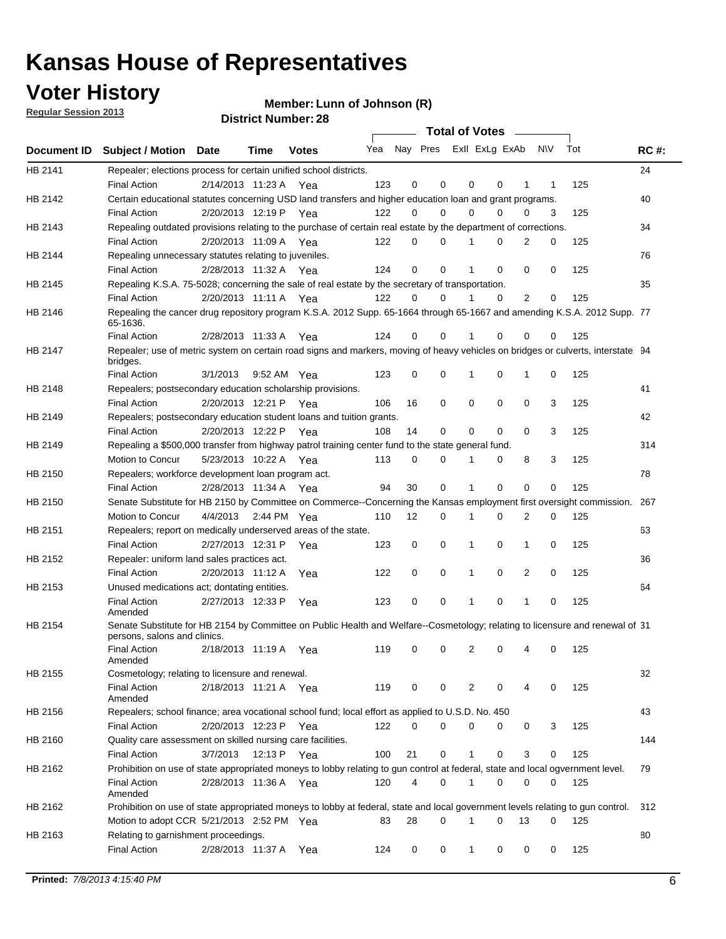### **Voter History**

**Member: Lunn of Johnson (R)** 

**Regular Session 2013**

|                |                                                                                                                                              |          |                       |              |                             |    | <b>Total of Votes</b> |              |          | $\sim$      |     |     |             |
|----------------|----------------------------------------------------------------------------------------------------------------------------------------------|----------|-----------------------|--------------|-----------------------------|----|-----------------------|--------------|----------|-------------|-----|-----|-------------|
|                | Document ID Subject / Motion Date                                                                                                            |          | Time                  | <b>Votes</b> | Yea Nay Pres ExII ExLg ExAb |    |                       |              |          |             | N\V | Tot | <b>RC#:</b> |
| HB 2141        | Repealer; elections process for certain unified school districts.                                                                            |          |                       |              |                             |    |                       |              |          |             |     |     | 24          |
|                | <b>Final Action</b>                                                                                                                          |          | 2/14/2013 11:23 A     | Yea          | 123                         | 0  | 0                     | 0            | 0        | 1           | 1   | 125 |             |
| HB 2142        | Certain educational statutes concerning USD land transfers and higher education loan and grant programs.                                     |          |                       |              |                             |    |                       |              |          |             |     |     | 40          |
|                | <b>Final Action</b>                                                                                                                          |          | 2/20/2013 12:19 P     | Yea          | 122                         | 0  | 0                     | 0            | 0        | 0           | 3   | 125 |             |
| HB 2143        | Repealing outdated provisions relating to the purchase of certain real estate by the department of corrections.                              |          |                       |              |                             |    |                       |              |          |             |     |     | 34          |
|                | <b>Final Action</b>                                                                                                                          |          | 2/20/2013 11:09 A Yea |              | 122                         | 0  | 0                     |              | 0        | 2           | 0   | 125 |             |
| HB 2144        | Repealing unnecessary statutes relating to juveniles.                                                                                        |          |                       |              |                             |    |                       |              |          |             |     |     | 76          |
|                | <b>Final Action</b>                                                                                                                          |          | 2/28/2013 11:32 A Yea |              | 124                         | 0  | 0                     |              | 0        | 0           | 0   | 125 |             |
| <b>HB 2145</b> | Repealing K.S.A. 75-5028; concerning the sale of real estate by the secretary of transportation.                                             |          |                       |              |                             |    |                       |              |          |             |     |     | 35          |
|                | <b>Final Action</b>                                                                                                                          |          | 2/20/2013 11:11 A Yea |              | 122                         | 0  | 0                     |              | 0        | 2           | 0   | 125 |             |
| HB 2146        | Repealing the cancer drug repository program K.S.A. 2012 Supp. 65-1664 through 65-1667 and amending K.S.A. 2012 Supp. 77<br>65-1636.         |          |                       |              |                             |    |                       |              |          |             |     |     |             |
|                | <b>Final Action</b>                                                                                                                          |          | 2/28/2013 11:33 A     | Yea          | 124                         | 0  | 0                     |              | 0        | 0           | 0   | 125 |             |
| HB 2147        | Repealer; use of metric system on certain road signs and markers, moving of heavy vehicles on bridges or culverts, interstate 94<br>bridges. |          |                       |              |                             |    |                       |              |          |             |     |     |             |
|                | <b>Final Action</b>                                                                                                                          | 3/1/2013 |                       | 9:52 AM Yea  | 123                         | 0  | 0                     | 1            | 0        | 1           | 0   | 125 |             |
| HB 2148        | Repealers; postsecondary education scholarship provisions.                                                                                   |          |                       |              |                             |    |                       |              |          |             |     |     | 41          |
|                | <b>Final Action</b>                                                                                                                          |          | 2/20/2013 12:21 P Yea |              | 106                         | 16 | 0                     | 0            | 0        | 0           | 3   | 125 |             |
| HB 2149        | Repealers; postsecondary education student loans and tuition grants.                                                                         |          |                       |              |                             |    |                       |              |          |             |     |     | 42          |
|                | <b>Final Action</b>                                                                                                                          |          | 2/20/2013 12:22 P     | Yea          | 108                         | 14 | 0                     | 0            | 0        | $\Omega$    | 3   | 125 |             |
| HB 2149        | Repealing a \$500,000 transfer from highway patrol training center fund to the state general fund.                                           |          |                       |              |                             |    |                       |              |          |             |     |     | 314         |
|                | Motion to Concur                                                                                                                             |          | 5/23/2013 10:22 A Yea |              | 113                         | 0  | 0                     |              | 0        | 8           | 3   | 125 |             |
| HB 2150        | Repealers; workforce development loan program act.                                                                                           |          |                       |              |                             |    |                       |              |          |             |     |     | 78          |
|                | <b>Final Action</b>                                                                                                                          |          | 2/28/2013 11:34 A Yea |              | 94                          | 30 | 0                     | 1            | 0        | $\mathbf 0$ | 0   | 125 |             |
| HB 2150        | Senate Substitute for HB 2150 by Committee on Commerce--Concerning the Kansas employment first oversight commission.                         |          |                       |              |                             |    |                       |              |          |             |     |     | 267         |
|                | Motion to Concur                                                                                                                             | 4/4/2013 |                       | 2:44 PM Yea  | 110                         | 12 | 0                     | 1            | 0        | 2           | 0   | 125 |             |
| HB 2151        | Repealers; report on medically underserved areas of the state.                                                                               |          |                       |              |                             |    |                       |              |          |             |     |     | 63          |
|                | <b>Final Action</b>                                                                                                                          |          | 2/27/2013 12:31 P     | Yea          | 123                         | 0  | 0                     | 1            | 0        | 1           | 0   | 125 |             |
| HB 2152        | Repealer: uniform land sales practices act.                                                                                                  |          |                       |              |                             |    |                       |              |          |             |     |     | 36          |
|                | <b>Final Action</b>                                                                                                                          |          | 2/20/2013 11:12 A     | Yea          | 122                         | 0  | 0                     | 1            | 0        | 2           | 0   | 125 |             |
| HB 2153        | Unused medications act; dontating entities.                                                                                                  |          |                       |              |                             |    |                       |              |          |             |     |     | 64          |
|                | <b>Final Action</b><br>Amended                                                                                                               |          | 2/27/2013 12:33 P     | Yea          | 123                         | 0  | 0                     |              | 0        | 1           | 0   | 125 |             |
| HB 2154        | Senate Substitute for HB 2154 by Committee on Public Health and Welfare--Cosmetology; relating to licensure and renewal of 31                |          |                       |              |                             |    |                       |              |          |             |     |     |             |
|                | persons, salons and clinics.<br><b>Final Action</b>                                                                                          |          | 2/18/2013 11:19 A     | Yea          | 119                         | 0  | 0                     | 2            | 0        |             | 0   | 125 |             |
|                | Amended                                                                                                                                      |          |                       |              |                             |    |                       |              |          |             |     |     |             |
| HB 2155        | Cosmetology; relating to licensure and renewal.<br><b>Final Action</b>                                                                       |          |                       |              | 119                         | 0  | 0                     | 2            | 0        | 4           | 0   | 125 | 32          |
|                | Amended                                                                                                                                      |          | 2/18/2013 11:21 A Yea |              |                             |    |                       |              |          |             |     |     |             |
| HB 2156        | Repealers; school finance; area vocational school fund; local effort as applied to U.S.D. No. 450                                            |          |                       |              |                             |    |                       |              |          |             |     |     | 43          |
|                | <b>Final Action</b>                                                                                                                          |          | 2/20/2013 12:23 P     | Yea          | 122                         | 0  | 0                     | 0            | 0        | 0           | 3   | 125 |             |
| HB 2160        | Quality care assessment on skilled nursing care facilities.                                                                                  |          |                       |              |                             |    |                       |              |          |             |     |     | 144         |
|                | <b>Final Action</b>                                                                                                                          | 3/7/2013 | 12:13 P               | Yea          | 100                         | 21 | 0                     | $\mathbf{1}$ | 0        | 3           | 0   | 125 |             |
| HB 2162        | Prohibition on use of state appropriated moneys to lobby relating to gun control at federal, state and local ogvernment level.               |          |                       |              |                             |    |                       |              |          |             |     |     | 79          |
|                | <b>Final Action</b><br>Amended                                                                                                               |          | 2/28/2013 11:36 A Yea |              | 120                         | 4  | 0                     | 1            | 0        | 0           | 0   | 125 |             |
| HB 2162        | Prohibition on use of state appropriated moneys to lobby at federal, state and local government levels relating to gun control.              |          |                       |              |                             |    |                       |              |          |             |     |     | 312         |
|                | Motion to adopt CCR 5/21/2013 2:52 PM Yea                                                                                                    |          |                       |              | 83                          | 28 | 0                     | 1            | $\Omega$ | 13          | 0   | 125 |             |
| HB 2163        | Relating to garnishment proceedings.                                                                                                         |          |                       |              |                             |    |                       |              |          |             |     |     | 80          |
|                | <b>Final Action</b>                                                                                                                          |          | 2/28/2013 11:37 A Yea |              | 124                         | 0  | 0                     | $\mathbf{1}$ | 0        | 0           | 0   | 125 |             |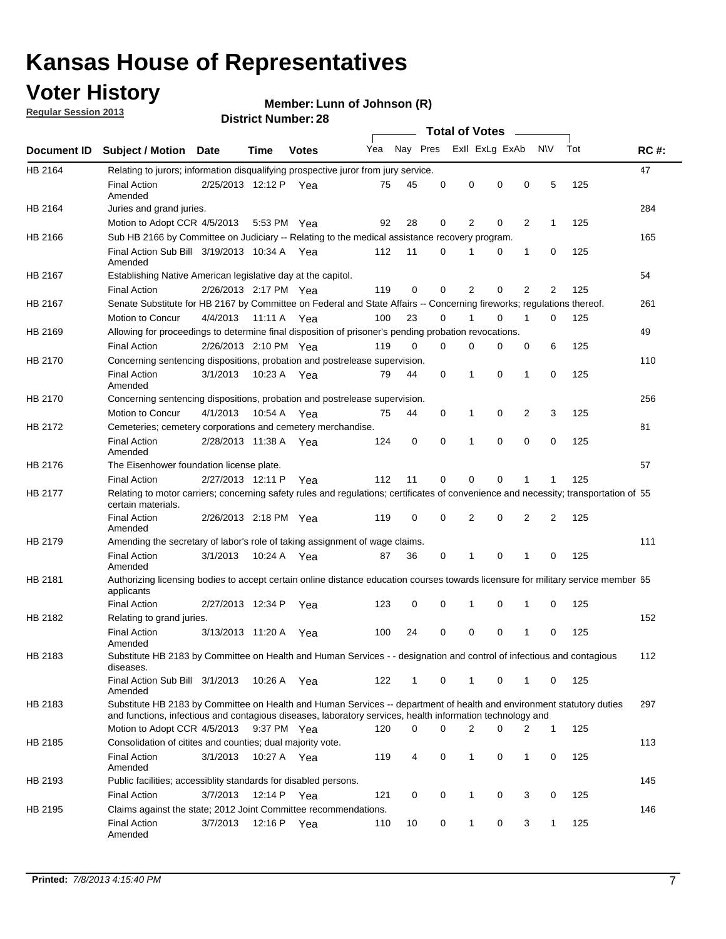#### **Voter History**

**Member: Lunn of Johnson (R)** 

**Regular Session 2013**

|             |                                                                                                                                                                                                                                    |                       |             | וסוטנו וענווווטקו. בט |     |          |          | <b>Total of Votes</b> |          | $\sim$         |                |     |             |
|-------------|------------------------------------------------------------------------------------------------------------------------------------------------------------------------------------------------------------------------------------|-----------------------|-------------|-----------------------|-----|----------|----------|-----------------------|----------|----------------|----------------|-----|-------------|
| Document ID | <b>Subject / Motion Date</b>                                                                                                                                                                                                       |                       | Time        | <b>Votes</b>          | Yea | Nay Pres |          | Exll ExLg ExAb        |          |                | N\V            | Tot | <b>RC#:</b> |
| HB 2164     | Relating to jurors; information disqualifying prospective juror from jury service.                                                                                                                                                 |                       |             |                       |     |          |          |                       |          |                |                |     | 47          |
|             | <b>Final Action</b><br>Amended                                                                                                                                                                                                     | 2/25/2013 12:12 P Yea |             |                       | 75  | 45       | 0        | 0                     | 0        | 0              | 5              | 125 |             |
| HB 2164     | Juries and grand juries.                                                                                                                                                                                                           |                       |             |                       |     |          |          |                       |          |                |                |     | 284         |
|             | Motion to Adopt CCR 4/5/2013                                                                                                                                                                                                       |                       | 5:53 PM Yea |                       | 92  | 28       | 0        | 2                     | 0        | $\overline{2}$ | 1              | 125 |             |
| HB 2166     | Sub HB 2166 by Committee on Judiciary -- Relating to the medical assistance recovery program.                                                                                                                                      |                       |             |                       |     |          |          |                       |          |                |                |     | 165         |
|             | Final Action Sub Bill 3/19/2013 10:34 A Yea<br>Amended                                                                                                                                                                             |                       |             |                       | 112 | 11       | $\Omega$ |                       | 0        | 1              | 0              | 125 |             |
| HB 2167     | Establishing Native American legislative day at the capitol.                                                                                                                                                                       |                       |             |                       |     |          |          |                       |          |                |                |     | 54          |
|             | <b>Final Action</b>                                                                                                                                                                                                                | 2/26/2013 2:17 PM Yea |             |                       | 119 | 0        | $\Omega$ | 2                     | 0        | 2              | 2              | 125 |             |
| HB 2167     | Senate Substitute for HB 2167 by Committee on Federal and State Affairs -- Concerning fireworks; regulations thereof.                                                                                                              |                       |             |                       |     |          |          |                       |          |                |                |     | 261         |
|             | Motion to Concur                                                                                                                                                                                                                   | 4/4/2013              | 11:11 A Yea |                       | 100 | 23       | 0        | 1                     | 0        | 1              | 0              | 125 |             |
| HB 2169     | Allowing for proceedings to determine final disposition of prisoner's pending probation revocations.                                                                                                                               |                       |             |                       |     |          |          |                       |          |                |                |     | 49          |
|             | <b>Final Action</b>                                                                                                                                                                                                                | 2/26/2013 2:10 PM Yea |             |                       | 119 | 0        | 0        | 0                     | 0        | 0              | 6              | 125 |             |
| HB 2170     | Concerning sentencing dispositions, probation and postrelease supervision.                                                                                                                                                         |                       |             |                       |     |          |          |                       |          |                |                |     | 110         |
|             | <b>Final Action</b><br>Amended                                                                                                                                                                                                     | 3/1/2013              | 10:23 A Yea |                       | 79  | 44       | 0        | 1                     | 0        | 1              | 0              | 125 |             |
| HB 2170     | Concerning sentencing dispositions, probation and postrelease supervision.                                                                                                                                                         |                       |             |                       |     |          |          |                       |          |                |                |     | 256         |
|             | Motion to Concur                                                                                                                                                                                                                   | 4/1/2013              | 10:54 A Yea |                       | 75  | 44       | 0        | 1                     | 0        | $\overline{2}$ | 3              | 125 |             |
| HB 2172     | Cemeteries; cemetery corporations and cemetery merchandise.                                                                                                                                                                        |                       |             |                       |     |          |          |                       |          |                |                |     | 81          |
|             | <b>Final Action</b><br>Amended                                                                                                                                                                                                     | 2/28/2013 11:38 A Yea |             |                       | 124 | 0        | 0        | 1                     | 0        | $\Omega$       | 0              | 125 |             |
| HB 2176     | The Eisenhower foundation license plate.                                                                                                                                                                                           |                       |             |                       |     |          |          |                       |          |                |                |     | 57          |
|             | <b>Final Action</b>                                                                                                                                                                                                                | 2/27/2013 12:11 P     |             | Yea                   | 112 | 11       | $\Omega$ | 0                     | 0        | 1              | 1              | 125 |             |
| HB 2177     | Relating to motor carriers; concerning safety rules and regulations; certificates of convenience and necessity; transportation of 55<br>certain materials.                                                                         |                       |             |                       |     |          |          |                       |          |                |                |     |             |
|             | <b>Final Action</b><br>Amended                                                                                                                                                                                                     | 2/26/2013 2:18 PM Yea |             |                       | 119 | 0        | $\Omega$ | 2                     | 0        | $\overline{2}$ | $\overline{2}$ | 125 |             |
| HB 2179     | Amending the secretary of labor's role of taking assignment of wage claims.                                                                                                                                                        |                       |             |                       |     |          |          |                       |          |                |                |     | 111         |
|             | <b>Final Action</b><br>Amended                                                                                                                                                                                                     | 3/1/2013              | 10:24 A Yea |                       | 87  | 36       | 0        | 1                     | $\Omega$ | 1              | 0              | 125 |             |
| HB 2181     | Authorizing licensing bodies to accept certain online distance education courses towards licensure for military service member 55<br>applicants                                                                                    |                       |             |                       |     |          |          |                       |          |                |                |     |             |
|             | <b>Final Action</b>                                                                                                                                                                                                                | 2/27/2013 12:34 P     |             | Yea                   | 123 | 0        | 0        |                       | 0        | 1              | 0              | 125 |             |
| HB 2182     | Relating to grand juries.                                                                                                                                                                                                          |                       |             |                       |     |          |          |                       |          |                |                |     | 152         |
|             | <b>Final Action</b><br>Amended                                                                                                                                                                                                     | 3/13/2013 11:20 A     |             | Yea                   | 100 | 24       | 0        | 0                     | 0        | 1              | 0              | 125 |             |
| HB 2183     | Substitute HB 2183 by Committee on Health and Human Services - - designation and control of infectious and contagious<br>diseases.                                                                                                 |                       |             |                       |     |          |          |                       |          |                |                |     | 112         |
|             | Final Action Sub Bill 3/1/2013<br>Amended                                                                                                                                                                                          |                       | 10:26 A Yea |                       | 122 | 1        | 0        | 1                     | 0        | 1              | 0              | 125 |             |
| HB 2183     | Substitute HB 2183 by Committee on Health and Human Services -- department of health and environment statutory duties<br>and functions, infectious and contagious diseases, laboratory services, health information technology and |                       |             |                       |     |          |          |                       |          |                |                |     | 297         |
|             | Motion to Adopt CCR 4/5/2013                                                                                                                                                                                                       |                       | 9:37 PM Yea |                       | 120 | 0        | 0        | 2                     | 0        | 2              | 1              | 125 |             |
| HB 2185     | Consolidation of citites and counties; dual majority vote.                                                                                                                                                                         |                       |             |                       |     |          |          |                       |          |                |                |     | 113         |
|             | <b>Final Action</b><br>Amended                                                                                                                                                                                                     | 3/1/2013              | 10:27 A Yea |                       | 119 | 4        | 0        | 1                     | 0        | $\mathbf{1}$   | 0              | 125 |             |
| HB 2193     | Public facilities; accessiblity standards for disabled persons.                                                                                                                                                                    |                       |             |                       |     |          |          |                       |          |                |                |     | 145         |
|             | <b>Final Action</b>                                                                                                                                                                                                                | 3/7/2013              | 12:14 P     | Yea                   | 121 | 0        | 0        | 1                     | 0        | 3              | 0              | 125 |             |
| HB 2195     | Claims against the state; 2012 Joint Committee recommendations.                                                                                                                                                                    |                       |             |                       |     |          |          |                       |          |                |                |     | 146         |
|             | <b>Final Action</b><br>Amended                                                                                                                                                                                                     | 3/7/2013              | 12:16 P Yea |                       | 110 | 10       | 0        | 1                     | 0        | 3              | 1              | 125 |             |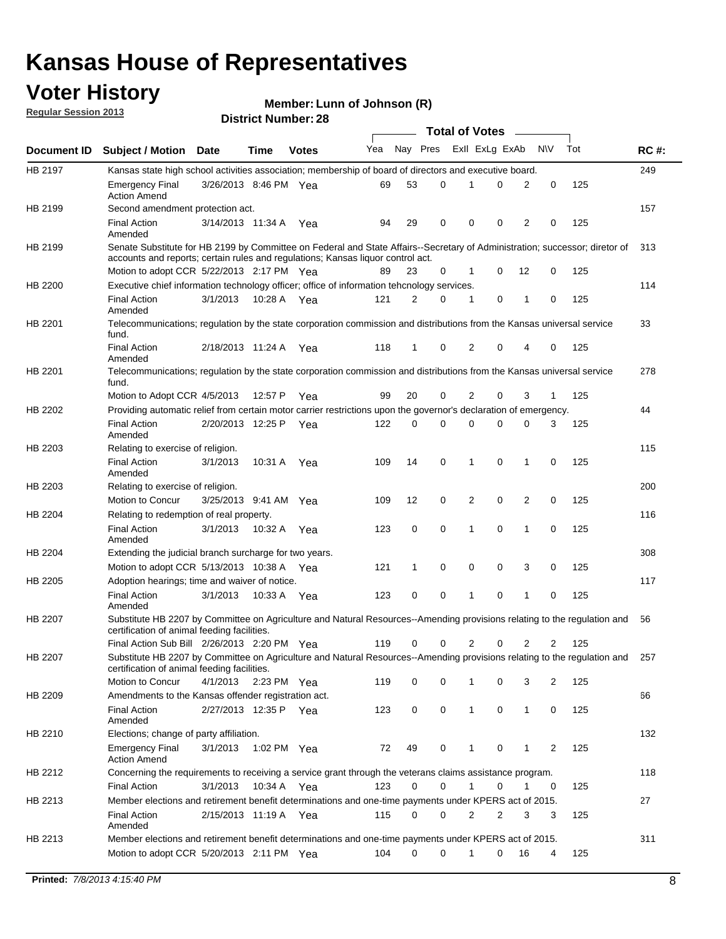#### **Voter History**

**Member: Lunn of Johnson (R)** 

**Regular Session 2013**

|             |                                                                                                                                                                                                                |                       |             |              |     |              | <b>Total of Votes</b> |                |   | $\sim$         |                |     |     |
|-------------|----------------------------------------------------------------------------------------------------------------------------------------------------------------------------------------------------------------|-----------------------|-------------|--------------|-----|--------------|-----------------------|----------------|---|----------------|----------------|-----|-----|
| Document ID | <b>Subject / Motion Date</b>                                                                                                                                                                                   |                       | Time        | <b>Votes</b> | Yea | Nay Pres     |                       | Exll ExLg ExAb |   |                | <b>NV</b>      | Tot | RC# |
| HB 2197     | Kansas state high school activities association; membership of board of directors and executive board.                                                                                                         |                       |             |              |     |              |                       |                |   |                |                |     | 249 |
|             | <b>Emergency Final</b><br><b>Action Amend</b>                                                                                                                                                                  | 3/26/2013 8:46 PM Yea |             |              | 69  | 53           | 0                     | 1              | 0 | 2              | 0              | 125 |     |
| HB 2199     | Second amendment protection act.                                                                                                                                                                               |                       |             |              |     |              |                       |                |   |                |                |     | 157 |
|             | <b>Final Action</b><br>Amended                                                                                                                                                                                 | 3/14/2013 11:34 A     |             | Yea          | 94  | 29           | 0                     | 0              | 0 | 2              | 0              | 125 |     |
| HB 2199     | Senate Substitute for HB 2199 by Committee on Federal and State Affairs--Secretary of Administration; successor; diretor of<br>accounts and reports; certain rules and regulations; Kansas liquor control act. |                       |             |              |     |              |                       |                |   |                |                |     | 313 |
|             | Motion to adopt CCR 5/22/2013 2:17 PM Yea                                                                                                                                                                      |                       |             |              | 89  | 23           | 0                     | 1              | 0 | 12             | 0              | 125 |     |
| HB 2200     | Executive chief information technology officer; office of information tehcnology services.                                                                                                                     |                       |             |              |     |              |                       |                |   |                |                |     | 114 |
|             | <b>Final Action</b><br>Amended                                                                                                                                                                                 | 3/1/2013              | 10:28 A Yea |              | 121 | 2            | $\Omega$              | 1              | 0 | 1              | 0              | 125 |     |
| HB 2201     | Telecommunications; regulation by the state corporation commission and distributions from the Kansas universal service<br>fund.                                                                                |                       |             |              |     |              |                       |                |   |                |                |     | 33  |
|             | <b>Final Action</b><br>Amended                                                                                                                                                                                 | 2/18/2013 11:24 A     |             | Yea          | 118 | 1            | 0                     | 2              | 0 | 4              | 0              | 125 |     |
| HB 2201     | Telecommunications; regulation by the state corporation commission and distributions from the Kansas universal service<br>fund.                                                                                |                       |             |              |     |              |                       |                |   |                |                |     | 278 |
|             | Motion to Adopt CCR 4/5/2013                                                                                                                                                                                   |                       | 12:57 P     | Yea          | 99  | 20           | 0                     | 2              | 0 | 3              | 1              | 125 |     |
| HB 2202     | Providing automatic relief from certain motor carrier restrictions upon the governor's declaration of emergency.                                                                                               |                       |             |              |     |              |                       |                |   |                |                |     | 44  |
|             | <b>Final Action</b><br>Amended                                                                                                                                                                                 | 2/20/2013 12:25 P     |             | Yea          | 122 | 0            | 0                     | 0              | 0 | 0              | 3              | 125 |     |
| HB 2203     | Relating to exercise of religion.                                                                                                                                                                              |                       |             |              |     |              |                       |                |   |                |                |     | 115 |
|             | <b>Final Action</b><br>Amended                                                                                                                                                                                 | 3/1/2013              | 10:31 A     | Yea          | 109 | 14           | 0                     | 1              | 0 | 1              | 0              | 125 |     |
| HB 2203     | Relating to exercise of religion.                                                                                                                                                                              |                       |             |              |     |              |                       |                |   |                |                |     | 200 |
|             | Motion to Concur                                                                                                                                                                                               | 3/25/2013 9:41 AM     |             | Yea          | 109 | 12           | 0                     | 2              | 0 | $\overline{2}$ | 0              | 125 |     |
| HB 2204     | Relating to redemption of real property.                                                                                                                                                                       |                       |             |              |     |              |                       |                |   |                |                |     | 116 |
|             | <b>Final Action</b><br>Amended                                                                                                                                                                                 | 3/1/2013              | 10:32 A Yea |              | 123 | 0            | 0                     | 1              | 0 | $\mathbf{1}$   | 0              | 125 |     |
| HB 2204     | Extending the judicial branch surcharge for two years.                                                                                                                                                         |                       |             |              |     |              |                       |                |   |                |                |     | 308 |
|             | Motion to adopt CCR 5/13/2013 10:38 A                                                                                                                                                                          |                       |             | Yea          | 121 | $\mathbf{1}$ | 0                     | 0              | 0 | 3              | 0              | 125 |     |
| HB 2205     | Adoption hearings; time and waiver of notice.                                                                                                                                                                  |                       |             |              |     |              |                       |                |   |                |                |     | 117 |
|             | <b>Final Action</b><br>Amended                                                                                                                                                                                 | 3/1/2013              | 10:33 A     | Yea          | 123 | 0            | 0                     | 1              | 0 | 1              | 0              | 125 |     |
| HB 2207     | Substitute HB 2207 by Committee on Agriculture and Natural Resources--Amending provisions relating to the regulation and<br>certification of animal feeding facilities.                                        |                       |             |              |     |              |                       |                |   |                |                |     | 56  |
|             | Final Action Sub Bill 2/26/2013 2:20 PM Yea                                                                                                                                                                    |                       |             |              | 119 | 0            | 0                     | 2              | 0 | $\overline{2}$ | $\overline{2}$ | 125 |     |
| HB 2207     | Substitute HB 2207 by Committee on Agriculture and Natural Resources--Amending provisions relating to the regulation and<br>certification of animal feeding facilities.                                        |                       |             |              |     |              |                       |                |   |                |                |     | 257 |
|             | Motion to Concur                                                                                                                                                                                               | 4/1/2013              | 2:23 PM Yea |              | 119 | 0            | 0                     |                | 0 | 3              | 2              | 125 |     |
| HB 2209     | Amendments to the Kansas offender registration act.                                                                                                                                                            |                       |             |              |     |              |                       |                |   |                |                |     | 66  |
|             | Final Action<br>Amended                                                                                                                                                                                        | 2/27/2013 12:35 P Yea |             |              | 123 | 0            | 0                     | 1              | 0 | 1              | 0              | 125 |     |
| HB 2210     | Elections; change of party affiliation.                                                                                                                                                                        |                       |             |              |     |              |                       |                |   |                |                |     | 132 |
|             | Emergency Final<br><b>Action Amend</b>                                                                                                                                                                         | 3/1/2013              | 1:02 PM Yea |              | 72  | 49           | 0                     | 1              | 0 | 1              | $\overline{2}$ | 125 |     |
| HB 2212     | Concerning the requirements to receiving a service grant through the veterans claims assistance program.                                                                                                       |                       |             |              |     |              |                       |                |   |                |                |     | 118 |
|             | <b>Final Action</b>                                                                                                                                                                                            | 3/1/2013              | 10:34 A     | Yea          | 123 | 0            | 0                     | 1              | 0 | 1              | 0              | 125 |     |
| HB 2213     | Member elections and retirement benefit determinations and one-time payments under KPERS act of 2015.                                                                                                          |                       |             |              |     |              |                       |                |   |                |                |     | 27  |
|             | <b>Final Action</b><br>Amended                                                                                                                                                                                 | 2/15/2013 11:19 A Yea |             |              | 115 | 0            | 0                     | 2              | 2 | 3              | 3              | 125 |     |
| HB 2213     | Member elections and retirement benefit determinations and one-time payments under KPERS act of 2015.                                                                                                          |                       |             |              |     |              |                       |                |   |                |                |     | 311 |
|             | Motion to adopt CCR 5/20/2013 2:11 PM Yea                                                                                                                                                                      |                       |             |              | 104 | 0            | 0                     | 1              | 0 | 16             | 4              | 125 |     |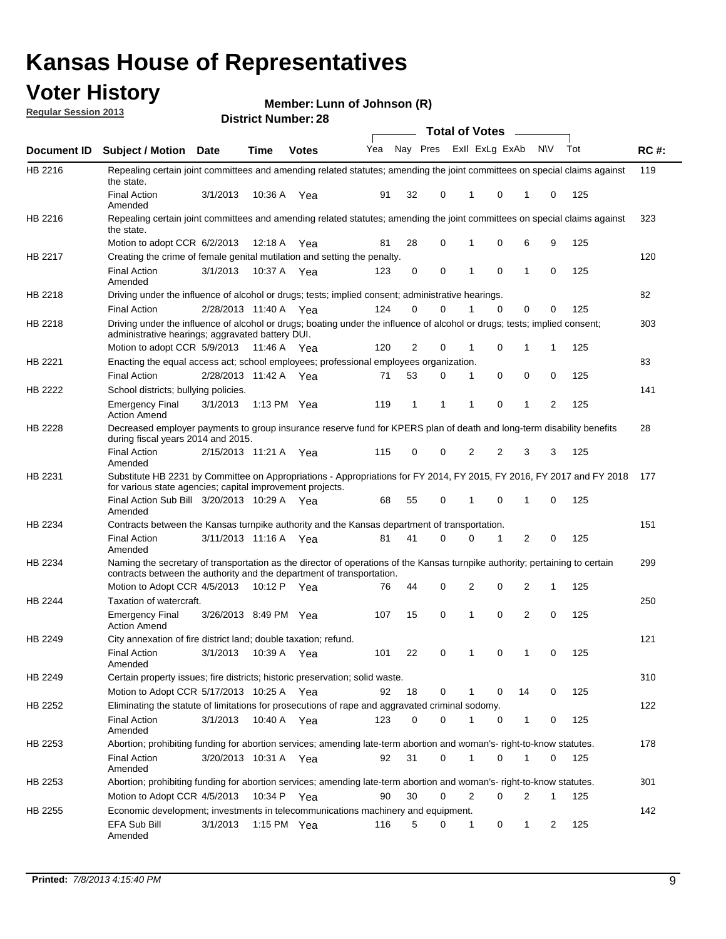#### **Voter History**

**Member: Lunn of Johnson (R)** 

**Regular Session 2013**

|                    |                                                                                                                                                                                                       |                       |         | וסוטנו וענווווטקו. בט |              |    |   | <b>Total of Votes</b> |          | $\sim$         |           |     |     |
|--------------------|-------------------------------------------------------------------------------------------------------------------------------------------------------------------------------------------------------|-----------------------|---------|-----------------------|--------------|----|---|-----------------------|----------|----------------|-----------|-----|-----|
| <b>Document ID</b> | <b>Subject / Motion Date</b>                                                                                                                                                                          |                       | Time    | <b>Votes</b>          | Yea Nay Pres |    |   | Exll ExLg ExAb        |          |                | <b>NV</b> | Tot | RC# |
| HB 2216            | Repealing certain joint committees and amending related statutes; amending the joint committees on special claims against<br>the state.                                                               |                       |         |                       |              |    |   |                       |          |                |           |     | 119 |
|                    | <b>Final Action</b><br>Amended                                                                                                                                                                        | 3/1/2013              | 10:36 A | Yea                   | 91           | 32 | 0 | 1                     | 0        | 1              | 0         | 125 |     |
| HB 2216            | Repealing certain joint committees and amending related statutes; amending the joint committees on special claims against<br>the state.                                                               |                       |         |                       |              |    |   |                       |          |                |           |     | 323 |
|                    | Motion to adopt CCR 6/2/2013                                                                                                                                                                          |                       | 12:18 A | Yea                   | 81           | 28 | 0 | 1                     | 0        | 6              | 9         | 125 |     |
| HB 2217            | Creating the crime of female genital mutilation and setting the penalty.                                                                                                                              |                       |         |                       |              |    |   |                       |          |                |           |     | 120 |
|                    | <b>Final Action</b><br>Amended                                                                                                                                                                        | 3/1/2013              |         | 10:37 A Yea           | 123          | 0  | 0 | 1                     | 0        | $\mathbf{1}$   | 0         | 125 |     |
| HB 2218            | Driving under the influence of alcohol or drugs; tests; implied consent; administrative hearings.                                                                                                     |                       |         |                       |              |    |   |                       |          |                |           |     | 82  |
|                    | <b>Final Action</b>                                                                                                                                                                                   | 2/28/2013 11:40 A Yea |         |                       | 124          | 0  | 0 |                       | $\Omega$ | 0              | 0         | 125 |     |
| HB 2218            | Driving under the influence of alcohol or drugs; boating under the influence of alcohol or drugs; tests; implied consent;<br>administrative hearings; aggravated battery DUI.                         |                       |         |                       |              |    |   |                       |          |                |           |     | 303 |
|                    | Motion to adopt CCR 5/9/2013 11:46 A                                                                                                                                                                  |                       |         | Yea                   | 120          | 2  | 0 | 1                     | 0        | 1              | 1         | 125 |     |
| HB 2221            | Enacting the equal access act; school employees; professional employees organization.                                                                                                                 |                       |         |                       |              |    |   |                       |          |                |           |     | 83  |
|                    | <b>Final Action</b>                                                                                                                                                                                   | 2/28/2013 11:42 A     |         | Yea                   | 71           | 53 | 0 | 1                     | 0        | 0              | 0         | 125 |     |
| HB 2222            | School districts; bullying policies.<br><b>Emergency Final</b>                                                                                                                                        | 3/1/2013              |         | 1:13 PM $Yea$         | 119          | 1  | 1 | 1                     | 0        | 1              | 2         | 125 | 141 |
| <b>HB 2228</b>     | <b>Action Amend</b><br>Decreased employer payments to group insurance reserve fund for KPERS plan of death and long-term disability benefits<br>during fiscal years 2014 and 2015.                    |                       |         |                       |              |    |   |                       |          |                |           |     | 28  |
|                    | <b>Final Action</b><br>Amended                                                                                                                                                                        | 2/15/2013 11:21 A Yea |         |                       | 115          | 0  | 0 | 2                     | 2        | 3              | 3         | 125 |     |
| HB 2231            | Substitute HB 2231 by Committee on Appropriations - Appropriations for FY 2014, FY 2015, FY 2016, FY 2017 and FY 2018<br>for various state agencies; capital improvement projects.                    |                       |         |                       |              |    |   |                       |          |                |           |     | 177 |
|                    | Final Action Sub Bill 3/20/2013 10:29 A Yea<br>Amended                                                                                                                                                |                       |         |                       | 68           | 55 | 0 |                       | 0        | 1              | 0         | 125 |     |
| HB 2234            | Contracts between the Kansas turnpike authority and the Kansas department of transportation.                                                                                                          |                       |         |                       |              |    |   |                       |          |                |           |     | 151 |
|                    | <b>Final Action</b><br>Amended                                                                                                                                                                        | 3/11/2013 11:16 A Yea |         |                       | 81           | 41 | 0 | 0                     | 1        | $\overline{2}$ | 0         | 125 |     |
| HB 2234            | Naming the secretary of transportation as the director of operations of the Kansas turnpike authority; pertaining to certain<br>contracts between the authority and the department of transportation. |                       |         |                       |              |    |   |                       |          |                |           |     | 299 |
|                    | Motion to Adopt CCR 4/5/2013                                                                                                                                                                          |                       | 10:12 P | Yea                   | 76           | 44 | 0 | 2                     | 0        | 2              | 1         | 125 |     |
| HB 2244            | Taxation of watercraft.<br><b>Emergency Final</b>                                                                                                                                                     | 3/26/2013 8:49 PM Yea |         |                       | 107          | 15 | 0 | 1                     | 0        | 2              | 0         | 125 | 250 |
|                    | <b>Action Amend</b>                                                                                                                                                                                   |                       |         |                       |              |    |   |                       |          |                |           |     |     |
| HB 2249            | City annexation of fire district land; double taxation; refund.                                                                                                                                       |                       |         |                       |              |    |   |                       |          |                |           |     | 121 |
|                    | Final Action 3/1/2013 10:39 A Yea<br>Amended                                                                                                                                                          |                       |         |                       | 101          | 22 | 0 | $\mathbf{1}$          | 0        | $\mathbf{1}$   | 0         | 125 |     |
| HB 2249            | Certain property issues; fire districts; historic preservation; solid waste.                                                                                                                          |                       |         |                       |              |    |   |                       |          |                |           |     | 310 |
|                    | Motion to Adopt CCR 5/17/2013 10:25 A Yea                                                                                                                                                             |                       |         |                       | 92           | 18 | 0 | 1                     | 0        | 14             | 0         | 125 |     |
| HB 2252            | Eliminating the statute of limitations for prosecutions of rape and aggravated criminal sodomy.                                                                                                       |                       |         |                       |              |    |   |                       |          |                |           |     | 122 |
|                    | <b>Final Action</b>                                                                                                                                                                                   | 3/1/2013              |         | 10:40 A Yea           | 123          | 0  | 0 |                       | 0        | 1              | 0         | 125 |     |
|                    | Amended                                                                                                                                                                                               |                       |         |                       |              |    |   |                       |          |                |           |     |     |
| HB 2253            | Abortion; prohibiting funding for abortion services; amending late-term abortion and woman's- right-to-know statutes.<br><b>Final Action</b><br>Amended                                               | 3/20/2013 10:31 A Yea |         |                       | 92           | 31 | 0 | 1                     | 0        | 1              | 0         | 125 | 178 |
| HB 2253            | Abortion; prohibiting funding for abortion services; amending late-term abortion and woman's- right-to-know statutes.                                                                                 |                       |         |                       |              |    |   |                       |          |                |           |     | 301 |
|                    | Motion to Adopt CCR 4/5/2013                                                                                                                                                                          |                       |         | 10:34 P Yea           | 90           | 30 | 0 | 2                     | 0        | 2              | 1         | 125 |     |
| HB 2255            | Economic development; investments in telecommunications machinery and equipment.                                                                                                                      |                       |         |                       |              |    |   |                       |          |                |           |     | 142 |
|                    | EFA Sub Bill<br>Amended                                                                                                                                                                               | 3/1/2013              |         | 1:15 PM $Yea$         | 116          | 5  | 0 | -1                    | 0        | 1              | 2         | 125 |     |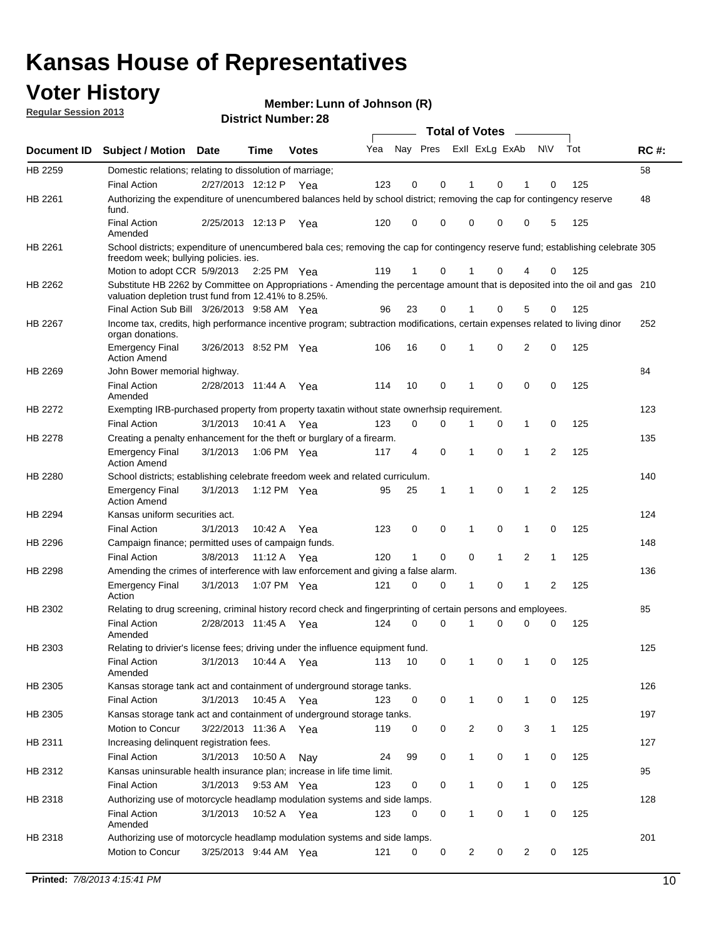#### **Voter History**

**Member: Lunn of Johnson (R)** 

**Regular Session 2013**

|             |                                                                                                                                                                                       |                       | וסוטנו וענווווטקו בט |              |     |                         |             | <b>Total of Votes</b> |              | $\overline{\phantom{a}}$ |              |     |             |
|-------------|---------------------------------------------------------------------------------------------------------------------------------------------------------------------------------------|-----------------------|----------------------|--------------|-----|-------------------------|-------------|-----------------------|--------------|--------------------------|--------------|-----|-------------|
| Document ID | <b>Subject / Motion Date</b>                                                                                                                                                          |                       | <b>Time</b>          | <b>Votes</b> | Yea | Nay Pres Exll ExLg ExAb |             |                       |              |                          | <b>NV</b>    | Tot | <b>RC#:</b> |
| HB 2259     | Domestic relations; relating to dissolution of marriage;                                                                                                                              |                       |                      |              |     |                         |             |                       |              |                          |              |     | 58          |
|             | <b>Final Action</b>                                                                                                                                                                   | 2/27/2013 12:12 P     |                      | Yea          | 123 | 0                       | 0           | 1                     | 0            | 1                        | $\Omega$     | 125 |             |
| HB 2261     | Authorizing the expenditure of unencumbered balances held by school district; removing the cap for contingency reserve<br>fund.                                                       |                       |                      |              |     |                         |             |                       |              |                          |              |     | 48          |
|             | <b>Final Action</b><br>Amended                                                                                                                                                        | 2/25/2013 12:13 P     |                      | Yea          | 120 | 0                       | 0           | 0                     | 0            | 0                        | 5            | 125 |             |
| HB 2261     | School districts; expenditure of unencumbered bala ces; removing the cap for contingency reserve fund; establishing celebrate 305<br>freedom week; bullying policies. ies.            |                       |                      |              |     |                         |             |                       |              |                          |              |     |             |
|             | Motion to adopt CCR 5/9/2013                                                                                                                                                          |                       | 2:25 PM Yea          |              | 119 | 1                       | 0           |                       | 0            | 4                        | 0            | 125 |             |
| HB 2262     | Substitute HB 2262 by Committee on Appropriations - Amending the percentage amount that is deposited into the oil and gas 210<br>valuation depletion trust fund from 12.41% to 8.25%. |                       |                      |              |     |                         |             |                       |              |                          |              |     |             |
|             | Final Action Sub Bill 3/26/2013 9:58 AM Yea                                                                                                                                           |                       |                      |              | 96  | 23                      | 0           |                       | 0            | 5                        | 0            | 125 |             |
| HB 2267     | Income tax, credits, high performance incentive program; subtraction modifications, certain expenses related to living dinor<br>organ donations.                                      |                       |                      |              |     |                         |             |                       |              |                          |              |     | 252         |
|             | <b>Emergency Final</b><br><b>Action Amend</b>                                                                                                                                         | 3/26/2013 8:52 PM Yea |                      |              | 106 | 16                      | 0           | 1                     | 0            | 2                        | 0            | 125 |             |
| HB 2269     | John Bower memorial highway.                                                                                                                                                          |                       |                      |              |     |                         |             |                       |              |                          |              |     | 84          |
|             | <b>Final Action</b><br>Amended                                                                                                                                                        | 2/28/2013 11:44 A Yea |                      |              | 114 | 10                      | 0           | 1                     | 0            | 0                        | 0            | 125 |             |
| HB 2272     | Exempting IRB-purchased property from property taxatin without state ownerhsip requirement.                                                                                           |                       |                      |              |     |                         |             |                       |              |                          |              |     | 123         |
|             | <b>Final Action</b>                                                                                                                                                                   | 3/1/2013              | 10:41 A              | Yea          | 123 | 0                       | 0           | 1                     | 0            | $\mathbf{1}$             | 0            | 125 |             |
| HB 2278     | Creating a penalty enhancement for the theft or burglary of a firearm.                                                                                                                |                       |                      |              |     |                         |             |                       |              |                          |              |     | 135         |
|             | <b>Emergency Final</b><br><b>Action Amend</b>                                                                                                                                         | 3/1/2013              | 1:06 PM Yea          |              | 117 | 4                       | $\mathbf 0$ | 1                     | 0            | 1                        | 2            | 125 |             |
| HB 2280     | School districts; establishing celebrate freedom week and related curriculum.                                                                                                         |                       |                      |              |     |                         |             |                       |              |                          |              |     | 140         |
|             | <b>Emergency Final</b><br><b>Action Amend</b>                                                                                                                                         | 3/1/2013              | 1:12 PM Yea          |              | 95  | 25                      | 1           | 1                     | 0            | 1                        | 2            | 125 |             |
| HB 2294     | Kansas uniform securities act.                                                                                                                                                        |                       |                      |              |     |                         |             |                       |              |                          |              |     | 124         |
|             | <b>Final Action</b>                                                                                                                                                                   | 3/1/2013              | 10:42 A              | Yea          | 123 | 0                       | 0           | 1                     | 0            | $\mathbf{1}$             | 0            | 125 |             |
| HB 2296     | Campaign finance; permitted uses of campaign funds.                                                                                                                                   |                       |                      |              |     |                         |             |                       |              |                          |              |     | 148         |
|             | <b>Final Action</b>                                                                                                                                                                   | 3/8/2013              | 11:12 A Yea          |              | 120 | $\mathbf{1}$            | 0           | 0                     | $\mathbf{1}$ | 2                        | $\mathbf{1}$ | 125 |             |
| HB 2298     | Amending the crimes of interference with law enforcement and giving a false alarm.                                                                                                    |                       |                      |              |     |                         |             |                       |              |                          |              |     | 136         |
|             | <b>Emergency Final</b><br>Action                                                                                                                                                      | 3/1/2013              | 1:07 PM Yea          |              | 121 | 0                       | 0           | 1                     | 0            | 1                        | 2            | 125 |             |
| HB 2302     | Relating to drug screening, criminal history record check and fingerprinting of certain persons and employees.                                                                        |                       |                      |              |     |                         |             |                       |              |                          |              |     | 85          |
|             | <b>Final Action</b><br>Amended                                                                                                                                                        | 2/28/2013 11:45 A     |                      | Yea          | 124 | 0                       | $\Omega$    | 1                     | 0            | 0                        | $\mathbf 0$  | 125 |             |
| HB 2303     | Relating to drivier's license fees; driving under the influence equipment fund.                                                                                                       |                       |                      |              |     |                         |             |                       |              |                          |              |     | 125         |
|             | <b>Final Action</b><br>Amended                                                                                                                                                        | 3/1/2013              | 10:44 A              | Yea          | 113 | 10                      | 0           | 1                     | 0            | 1                        | 0            | 125 |             |
| HB 2305     | Kansas storage tank act and containment of underground storage tanks.                                                                                                                 |                       |                      |              |     |                         |             |                       |              |                          |              |     | 126         |
|             | <b>Final Action</b>                                                                                                                                                                   | 3/1/2013              | 10:45 A              | Yea          | 123 | 0                       | 0           | 1                     | 0            | 1                        | 0            | 125 |             |
| HB 2305     | Kansas storage tank act and containment of underground storage tanks.                                                                                                                 |                       |                      |              |     |                         |             |                       |              |                          |              |     | 197         |
|             | Motion to Concur                                                                                                                                                                      | 3/22/2013 11:36 A     |                      | Yea          | 119 | 0                       | 0           | 2                     | 0            | 3                        | $\mathbf{1}$ | 125 |             |
| HB 2311     | Increasing delinquent registration fees.                                                                                                                                              |                       |                      |              |     |                         |             |                       |              |                          |              |     | 127         |
|             | <b>Final Action</b>                                                                                                                                                                   | 3/1/2013              | 10:50 A              | Nay          | 24  | 99                      | 0           | $\mathbf{1}$          | 0            | 1                        | 0            | 125 |             |
| HB 2312     | Kansas uninsurable health insurance plan; increase in life time limit.                                                                                                                |                       |                      |              |     |                         |             |                       |              |                          |              |     | 95          |
|             | <b>Final Action</b>                                                                                                                                                                   | 3/1/2013              | 9:53 AM Yea          |              | 123 | 0                       | 0           | 1                     | 0            | 1                        | 0            | 125 |             |
| HB 2318     | Authorizing use of motorcycle headlamp modulation systems and side lamps.                                                                                                             |                       |                      |              |     |                         |             |                       |              |                          |              |     | 128         |
|             | <b>Final Action</b><br>Amended                                                                                                                                                        | 3/1/2013              | 10:52 A              | Yea          | 123 | 0                       | 0           | 1                     | 0            | 1                        | 0            | 125 |             |
| HB 2318     | Authorizing use of motorcycle headlamp modulation systems and side lamps.                                                                                                             |                       |                      |              |     |                         |             |                       |              |                          |              |     | 201         |
|             | Motion to Concur                                                                                                                                                                      | 3/25/2013 9:44 AM Yea |                      |              | 121 | 0                       | 0           | 2                     | 0            | 2                        | 0            | 125 |             |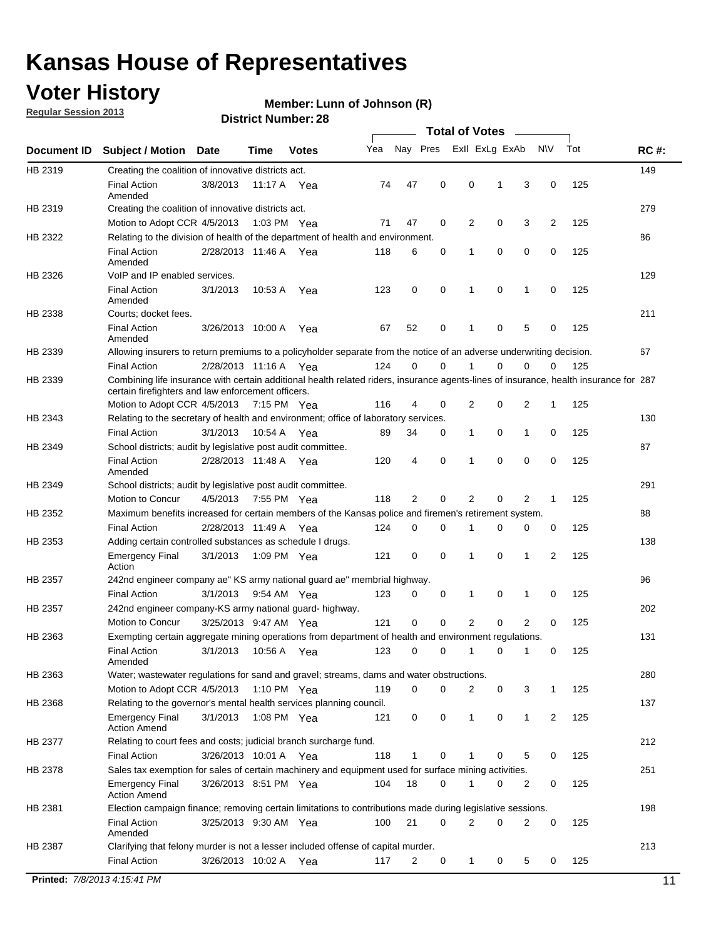#### **Voter History**

**Member: Lunn of Johnson (R)** 

**Regular Session 2013**

|             |                                                                                                                                                                                             |                       |             |              |     |             |             | <b>Total of Votes</b> |   |                |           |     |             |
|-------------|---------------------------------------------------------------------------------------------------------------------------------------------------------------------------------------------|-----------------------|-------------|--------------|-----|-------------|-------------|-----------------------|---|----------------|-----------|-----|-------------|
| Document ID | <b>Subject / Motion</b>                                                                                                                                                                     | <b>Date</b>           | Time        | <b>Votes</b> | Yea | Nay Pres    |             | Exll ExLg ExAb        |   |                | <b>NV</b> | Tot | <b>RC#:</b> |
| HB 2319     | Creating the coalition of innovative districts act.                                                                                                                                         |                       |             |              |     |             |             |                       |   |                |           |     | 149         |
|             | <b>Final Action</b><br>Amended                                                                                                                                                              | 3/8/2013              | 11:17 A     | Yea          | 74  | 47          | 0           | 0                     | 1 | 3              | 0         | 125 |             |
| HB 2319     | Creating the coalition of innovative districts act.                                                                                                                                         |                       |             |              |     |             |             |                       |   |                |           |     | 279         |
|             | Motion to Adopt CCR 4/5/2013                                                                                                                                                                |                       |             | 1:03 PM Yea  | 71  | 47          | 0           | 2                     | 0 | 3              | 2         | 125 |             |
| HB 2322     | Relating to the division of health of the department of health and environment.                                                                                                             |                       |             |              |     |             |             |                       |   |                |           |     | 86          |
|             | <b>Final Action</b><br>Amended                                                                                                                                                              | 2/28/2013 11:46 A Yea |             |              | 118 | 6           | 0           | 1                     | 0 | 0              | 0         | 125 |             |
| HB 2326     | VoIP and IP enabled services.                                                                                                                                                               |                       |             |              |     |             |             |                       |   |                |           |     | 129         |
|             | <b>Final Action</b><br>Amended                                                                                                                                                              | 3/1/2013              | 10.53 A     | Yea          | 123 | $\mathbf 0$ | 0           | $\mathbf{1}$          | 0 | 1              | 0         | 125 |             |
| HB 2338     | Courts; docket fees.                                                                                                                                                                        |                       |             |              |     |             |             |                       |   |                |           |     | 211         |
|             | <b>Final Action</b><br>Amended                                                                                                                                                              | 3/26/2013 10:00 A     |             | Yea          | 67  | 52          | 0           | $\mathbf 1$           | 0 | 5              | 0         | 125 |             |
| HB 2339     | Allowing insurers to return premiums to a policyholder separate from the notice of an adverse underwriting decision.                                                                        |                       |             |              |     |             |             |                       |   |                |           |     | 67          |
|             | <b>Final Action</b>                                                                                                                                                                         | 2/28/2013 11:16 A Yea |             |              | 124 | 0           | 0           |                       | 0 | 0              | 0         | 125 |             |
| HB 2339     | Combining life insurance with certain additional health related riders, insurance agents-lines of insurance, health insurance for 287<br>certain firefighters and law enforcement officers. |                       |             |              |     |             |             |                       |   |                |           |     |             |
|             | Motion to Adopt CCR 4/5/2013 7:15 PM Yea                                                                                                                                                    |                       |             |              | 116 | 4           | 0           | 2                     | 0 | 2              | -1        | 125 |             |
| HB 2343     | Relating to the secretary of health and environment; office of laboratory services.                                                                                                         |                       |             |              |     |             |             |                       |   |                |           |     | 130         |
|             | <b>Final Action</b>                                                                                                                                                                         | 3/1/2013              | 10:54 A Yea |              | 89  | 34          | 0           | 1                     | 0 | $\mathbf{1}$   | 0         | 125 |             |
| HB 2349     | School districts; audit by legislative post audit committee.                                                                                                                                |                       |             |              |     |             |             |                       |   |                |           |     | 87          |
|             | <b>Final Action</b><br>Amended                                                                                                                                                              | 2/28/2013 11:48 A Yea |             |              | 120 | 4           | $\mathbf 0$ | $\mathbf{1}$          | 0 | $\mathbf 0$    | 0         | 125 |             |
| HB 2349     | School districts; audit by legislative post audit committee.                                                                                                                                |                       |             |              |     |             |             |                       |   |                |           |     | 291         |
|             | Motion to Concur                                                                                                                                                                            | 4/5/2013              |             | 7:55 PM Yea  | 118 | 2           | 0           | 2                     | 0 | 2              | 1         | 125 |             |
| HB 2352     | Maximum benefits increased for certain members of the Kansas police and firemen's retirement system.                                                                                        |                       |             |              |     |             |             |                       |   |                |           |     | 88          |
|             | <b>Final Action</b>                                                                                                                                                                         | 2/28/2013 11:49 A     |             | Yea          | 124 | 0           | 0           | 1                     | 0 | 0              | 0         | 125 |             |
| HB 2353     | Adding certain controlled substances as schedule I drugs.                                                                                                                                   |                       |             |              |     |             |             |                       |   |                |           |     | 138         |
|             | Emergency Final<br>Action                                                                                                                                                                   | 3/1/2013              |             | 1:09 PM Yea  | 121 | 0           | 0           | $\mathbf{1}$          | 0 | 1              | 2         | 125 |             |
| HB 2357     | 242nd engineer company ae" KS army national guard ae" membrial highway.                                                                                                                     |                       |             |              |     |             |             |                       |   |                |           |     | 96          |
|             | <b>Final Action</b>                                                                                                                                                                         | 3/1/2013              |             | 9:54 AM Yea  | 123 | 0           | 0           | 1                     | 0 | 1              | 0         | 125 |             |
| HB 2357     | 242nd engineer company-KS army national guard- highway.                                                                                                                                     |                       |             |              |     |             |             |                       |   |                |           |     | 202         |
|             | Motion to Concur                                                                                                                                                                            | 3/25/2013 9:47 AM Yea |             |              | 121 | $\mathbf 0$ | $\mathbf 0$ | 2                     | 0 | $\overline{2}$ | 0         | 125 |             |
| HB 2363     | Exempting certain aggregate mining operations from department of health and environment regulations.                                                                                        |                       |             |              |     |             |             |                       |   |                |           |     | 131         |
|             | <b>Final Action</b><br>Amended                                                                                                                                                              | 3/1/2013              | 10:56 A     | Yea          | 123 | 0           | 0           | 1                     | 0 | 1              | 0         | 125 |             |
| HB 2363     | Water; wastewater regulations for sand and gravel; streams, dams and water obstructions.                                                                                                    |                       |             |              |     |             |             |                       |   |                |           |     | 280         |
|             | Motion to Adopt CCR 4/5/2013                                                                                                                                                                |                       |             | 1:10 PM Yea  | 119 | 0           | 0           | 2                     | 0 | 3              | 1         | 125 |             |
| HB 2368     | Relating to the governor's mental health services planning council.<br>Emergency Final                                                                                                      | 3/1/2013              |             | 1:08 PM Yea  | 121 | 0           | 0           | 1                     | 0 | $\mathbf{1}$   | 2         | 125 | 137         |
| HB 2377     | <b>Action Amend</b><br>Relating to court fees and costs; judicial branch surcharge fund.                                                                                                    |                       |             |              |     |             |             |                       |   |                |           |     | 212         |
|             | Final Action                                                                                                                                                                                | 3/26/2013 10:01 A Yea |             |              | 118 | 1           | 0           |                       | 0 | 5              | 0         | 125 |             |
| HB 2378     | Sales tax exemption for sales of certain machinery and equipment used for surface mining activities.                                                                                        |                       |             |              |     |             |             |                       |   |                |           |     | 251         |
|             | Emergency Final<br><b>Action Amend</b>                                                                                                                                                      | 3/26/2013 8:51 PM Yea |             |              | 104 | 18          | 0           | 1                     | 0 | 2              | 0         | 125 |             |
| HB 2381     | Election campaign finance; removing certain limitations to contributions made during legislative sessions.                                                                                  |                       |             |              |     |             |             |                       |   |                |           |     | 198         |
|             | <b>Final Action</b>                                                                                                                                                                         | 3/25/2013 9:30 AM Yea |             |              | 100 | 21          | 0           | 2                     | 0 | 2              | 0         | 125 |             |
|             | Amended                                                                                                                                                                                     |                       |             |              |     |             |             |                       |   |                |           |     |             |
| HB 2387     | Clarifying that felony murder is not a lesser included offense of capital murder.                                                                                                           |                       |             |              |     |             |             |                       |   |                |           |     | 213         |
|             | <b>Final Action</b>                                                                                                                                                                         | 3/26/2013 10:02 A     |             | Yea          | 117 | 2           | 0           | 1                     | 0 | 5              | 0         | 125 |             |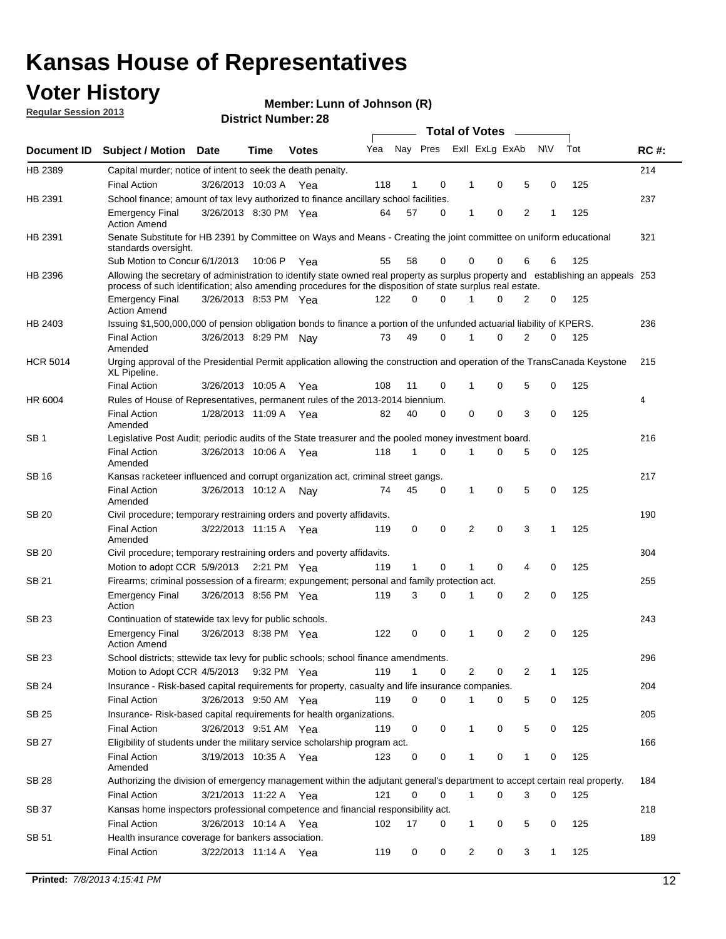#### **Voter History**

**Member: Lunn of Johnson (R)** 

**Regular Session 2013**

|                 |                                                                                                                                                                                                                                                  |                       |         |              |     |              |          | <b>Total of Votes</b> |   |   |              |     |             |
|-----------------|--------------------------------------------------------------------------------------------------------------------------------------------------------------------------------------------------------------------------------------------------|-----------------------|---------|--------------|-----|--------------|----------|-----------------------|---|---|--------------|-----|-------------|
| Document ID     | Subject / Motion Date                                                                                                                                                                                                                            |                       | Time    | <b>Votes</b> | Yea | Nay Pres     |          | Exll ExLg ExAb        |   |   | <b>NV</b>    | Tot | <b>RC#:</b> |
| HB 2389         | Capital murder; notice of intent to seek the death penalty.                                                                                                                                                                                      |                       |         |              |     |              |          |                       |   |   |              |     | 214         |
|                 | <b>Final Action</b>                                                                                                                                                                                                                              | 3/26/2013 10:03 A     |         | Yea          | 118 | 1            | 0        | 1                     | 0 | 5 | 0            | 125 |             |
| HB 2391         | School finance; amount of tax levy authorized to finance ancillary school facilities.                                                                                                                                                            |                       |         |              |     |              |          |                       |   |   |              |     | 237         |
|                 | <b>Emergency Final</b><br><b>Action Amend</b>                                                                                                                                                                                                    | 3/26/2013 8:30 PM Yea |         |              | 64  | 57           | 0        | 1                     | 0 | 2 | 1            | 125 |             |
| HB 2391         | Senate Substitute for HB 2391 by Committee on Ways and Means - Creating the joint committee on uniform educational<br>standards oversight.                                                                                                       |                       |         |              |     |              |          |                       |   |   |              |     | 321         |
|                 | Sub Motion to Concur 6/1/2013                                                                                                                                                                                                                    |                       | 10:06 P | Yea          | 55  | 58           | 0        | 0                     | 0 | 6 | 6            | 125 |             |
| HB 2396         | Allowing the secretary of administration to identify state owned real property as surplus property and establishing an appeals 253<br>process of such identification; also amending procedures for the disposition of state surplus real estate. |                       |         |              |     |              |          |                       |   |   |              |     |             |
|                 | <b>Emergency Final</b><br>Action Amend                                                                                                                                                                                                           | 3/26/2013 8:53 PM Yea |         |              | 122 | 0            | 0        |                       | 0 | 2 | 0            | 125 |             |
| HB 2403         | Issuing \$1,500,000,000 of pension obligation bonds to finance a portion of the unfunded actuarial liability of KPERS.                                                                                                                           |                       |         |              |     |              |          |                       |   |   |              |     | 236         |
|                 | <b>Final Action</b><br>Amended                                                                                                                                                                                                                   | 3/26/2013 8:29 PM Nay |         |              | 73  | 49           | 0        | 1                     | 0 | 2 | 0            | 125 |             |
| <b>HCR 5014</b> | Urging approval of the Presidential Permit application allowing the construction and operation of the TransCanada Keystone<br>XL Pipeline.                                                                                                       |                       |         |              |     |              |          |                       |   |   |              |     | 215         |
|                 | <b>Final Action</b>                                                                                                                                                                                                                              | 3/26/2013 10:05 A     |         | Yea          | 108 | 11           | 0        |                       | 0 | 5 | 0            | 125 |             |
| HR 6004         | Rules of House of Representatives, permanent rules of the 2013-2014 biennium.                                                                                                                                                                    |                       |         |              |     |              |          |                       |   |   |              |     | 4           |
|                 | <b>Final Action</b><br>Amended                                                                                                                                                                                                                   | 1/28/2013 11:09 A     |         | Yea          | 82  | 40           | 0        | 0                     | 0 | 3 | 0            | 125 |             |
| SB 1            | Legislative Post Audit; periodic audits of the State treasurer and the pooled money investment board.                                                                                                                                            |                       |         |              |     |              |          |                       |   |   |              |     | 216         |
|                 | <b>Final Action</b><br>Amended                                                                                                                                                                                                                   | 3/26/2013 10:06 A     |         | Yea          | 118 | 1            | 0        | 1                     | 0 | 5 | 0            | 125 |             |
| SB 16           | Kansas racketeer influenced and corrupt organization act, criminal street gangs.                                                                                                                                                                 |                       |         |              |     |              |          |                       |   |   |              |     | 217         |
|                 | <b>Final Action</b><br>Amended                                                                                                                                                                                                                   | 3/26/2013 10:12 A Nay |         |              | 74  | 45           | 0        | 1                     | 0 | 5 | 0            | 125 |             |
| SB 20           | Civil procedure; temporary restraining orders and poverty affidavits.                                                                                                                                                                            |                       |         |              |     |              |          |                       |   |   |              |     | 190         |
|                 | <b>Final Action</b><br>Amended                                                                                                                                                                                                                   | 3/22/2013 11:15 A     |         | Yea          | 119 | 0            | 0        | 2                     | 0 | 3 | 1            | 125 |             |
| SB 20           | Civil procedure; temporary restraining orders and poverty affidavits.                                                                                                                                                                            |                       |         |              |     |              |          |                       |   |   |              |     | 304         |
|                 | Motion to adopt CCR 5/9/2013                                                                                                                                                                                                                     |                       |         | 2:21 PM Yea  | 119 | $\mathbf{1}$ | 0        | 1                     | 0 | 4 | 0            | 125 |             |
| SB 21           | Firearms; criminal possession of a firearm; expungement; personal and family protection act.                                                                                                                                                     |                       |         |              |     |              |          |                       |   |   |              |     | 255         |
|                 | <b>Emergency Final</b><br>Action                                                                                                                                                                                                                 | 3/26/2013 8:56 PM Yea |         |              | 119 | 3            | 0        |                       | 0 | 2 | 0            | 125 |             |
| SB 23           | Continuation of statewide tax levy for public schools.                                                                                                                                                                                           |                       |         |              |     |              |          |                       |   |   |              |     | 243         |
|                 | <b>Emergency Final</b><br><b>Action Amend</b>                                                                                                                                                                                                    | 3/26/2013 8:38 PM Yea |         |              | 122 | 0            | 0        | 1                     | 0 | 2 | 0            | 125 |             |
| <b>SB 23</b>    | School districts; sttewide tax levy for public schools; school finance amendments.                                                                                                                                                               |                       |         |              |     |              |          |                       |   |   |              |     | 296         |
|                 | Motion to Adopt CCR 4/5/2013 9:32 PM Yea                                                                                                                                                                                                         |                       |         |              | 119 | 1            | 0        | 2                     | 0 | 2 | 1            | 125 |             |
| <b>SB 24</b>    | Insurance - Risk-based capital requirements for property, casualty and life insurance companies.                                                                                                                                                 |                       |         |              |     |              |          |                       |   |   |              |     | 204         |
|                 | <b>Final Action</b>                                                                                                                                                                                                                              | 3/26/2013 9:50 AM Yea |         |              | 119 | 0            | 0        |                       | 0 | 5 | 0            | 125 |             |
| SB 25           | Insurance-Risk-based capital requirements for health organizations.                                                                                                                                                                              |                       |         |              |     |              |          |                       |   |   |              |     | 205         |
|                 | <b>Final Action</b>                                                                                                                                                                                                                              | 3/26/2013 9:51 AM Yea |         |              | 119 | 0            | 0        | 1                     | 0 | 5 | 0            | 125 |             |
| SB 27           | Eligibility of students under the military service scholarship program act.                                                                                                                                                                      |                       |         |              |     |              |          |                       |   |   |              |     | 166         |
|                 | <b>Final Action</b><br>Amended                                                                                                                                                                                                                   | 3/19/2013 10:35 A Yea |         |              | 123 | 0            | 0        |                       | 0 | 1 | 0            | 125 |             |
| SB 28           | Authorizing the division of emergency management within the adjutant general's department to accept certain real property.                                                                                                                       |                       |         |              |     |              |          |                       |   |   |              |     | 184         |
|                 | <b>Final Action</b>                                                                                                                                                                                                                              | 3/21/2013 11:22 A Yea |         |              | 121 | 0            | $\Omega$ | 1                     | 0 | 3 | $\Omega$     | 125 |             |
| SB 37           | Kansas home inspectors professional competence and financial responsibility act.                                                                                                                                                                 |                       |         |              |     |              |          |                       |   |   |              |     | 218         |
|                 | <b>Final Action</b>                                                                                                                                                                                                                              | 3/26/2013 10:14 A Yea |         |              | 102 | 17           | 0        | 1                     | 0 | 5 | 0            | 125 |             |
| SB 51           | Health insurance coverage for bankers association.                                                                                                                                                                                               |                       |         |              |     |              |          |                       |   |   |              |     | 189         |
|                 | <b>Final Action</b>                                                                                                                                                                                                                              | 3/22/2013 11:14 A Yea |         |              | 119 | 0            | 0        | 2                     | 0 | 3 | $\mathbf{1}$ | 125 |             |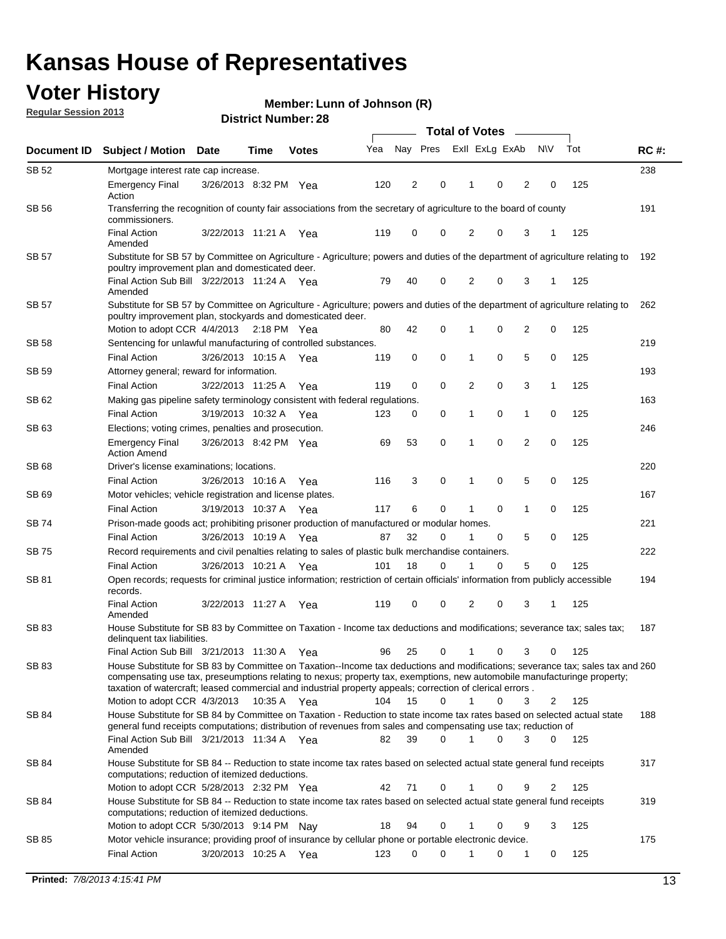#### **Voter History**

**Member: Lunn of Johnson (R)** 

**Regular Session 2013**

| Document ID  | <b>Subject / Motion Date</b>                                                                                                                                                                                                                                                                                                                                                                            |                                                                                                                   | Time        | <b>Votes</b> | Yea | Nay Pres |             | Exll ExLg ExAb |   |                | <b>NV</b>   | Tot | <b>RC#:</b> |
|--------------|---------------------------------------------------------------------------------------------------------------------------------------------------------------------------------------------------------------------------------------------------------------------------------------------------------------------------------------------------------------------------------------------------------|-------------------------------------------------------------------------------------------------------------------|-------------|--------------|-----|----------|-------------|----------------|---|----------------|-------------|-----|-------------|
| SB 52        | Mortgage interest rate cap increase.                                                                                                                                                                                                                                                                                                                                                                    |                                                                                                                   |             |              |     |          |             |                |   |                |             |     | 238         |
|              | <b>Emergency Final</b><br>Action                                                                                                                                                                                                                                                                                                                                                                        | 3/26/2013 8:32 PM Yea                                                                                             |             |              | 120 | 2        | 0           |                | 0 | 2              | 0           | 125 |             |
| SB 56        | commissioners.                                                                                                                                                                                                                                                                                                                                                                                          | Transferring the recognition of county fair associations from the secretary of agriculture to the board of county |             |              |     |          |             |                |   |                |             |     |             |
|              | <b>Final Action</b><br>Amended                                                                                                                                                                                                                                                                                                                                                                          | 3/22/2013 11:21 A                                                                                                 |             | Yea          | 119 | 0        | 0           | 2              | 0 | 3              | 1           | 125 |             |
| SB 57        | Substitute for SB 57 by Committee on Agriculture - Agriculture; powers and duties of the department of agriculture relating to<br>poultry improvement plan and domesticated deer.                                                                                                                                                                                                                       |                                                                                                                   |             |              |     |          |             |                |   |                |             |     | 192         |
|              | Final Action Sub Bill 3/22/2013 11:24 A Yea<br>Amended                                                                                                                                                                                                                                                                                                                                                  |                                                                                                                   |             |              | 79  | 40       | 0           | 2              | 0 | 3              | 1           | 125 |             |
| SB 57        | Substitute for SB 57 by Committee on Agriculture - Agriculture; powers and duties of the department of agriculture relating to<br>poultry improvement plan, stockyards and domesticated deer.<br>Motion to adopt CCR 4/4/2013 2:18 PM Yea                                                                                                                                                               |                                                                                                                   |             |              | 80  | 42       | 0           | 1              | 0 | 2              | 0           | 125 | 262         |
| SB 58        | Sentencing for unlawful manufacturing of controlled substances.                                                                                                                                                                                                                                                                                                                                         |                                                                                                                   |             |              |     |          |             |                |   |                |             |     | 219         |
|              | <b>Final Action</b>                                                                                                                                                                                                                                                                                                                                                                                     | 3/26/2013 10:15 A                                                                                                 |             |              | 119 | 0        | 0           | 1              | 0 | 5              | 0           | 125 |             |
| <b>SB 59</b> | Attorney general; reward for information.                                                                                                                                                                                                                                                                                                                                                               |                                                                                                                   |             | Yea          |     |          |             |                |   |                |             |     | 193         |
|              | <b>Final Action</b>                                                                                                                                                                                                                                                                                                                                                                                     | 3/22/2013 11:25 A                                                                                                 |             |              | 119 | 0        | 0           | 2              | 0 | 3              | 1           | 125 |             |
| SB 62        | Making gas pipeline safety terminology consistent with federal regulations.                                                                                                                                                                                                                                                                                                                             |                                                                                                                   |             | Yea          |     |          |             |                |   |                |             |     | 163         |
|              | <b>Final Action</b>                                                                                                                                                                                                                                                                                                                                                                                     | 3/19/2013 10:32 A                                                                                                 |             |              | 123 | 0        | 0           | 1              | 0 | 1              | 0           | 125 |             |
| SB 63        |                                                                                                                                                                                                                                                                                                                                                                                                         |                                                                                                                   |             | Yea          |     |          |             |                |   |                |             |     | 246         |
|              | Elections; voting crimes, penalties and prosecution.<br><b>Emergency Final</b><br><b>Action Amend</b>                                                                                                                                                                                                                                                                                                   | 3/26/2013 8:42 PM Yea                                                                                             |             |              | 69  | 53       | $\mathbf 0$ | 1              | 0 | $\overline{2}$ | $\mathbf 0$ | 125 |             |
| SB 68        | Driver's license examinations; locations.                                                                                                                                                                                                                                                                                                                                                               |                                                                                                                   |             |              |     |          |             |                |   |                |             |     | 220         |
|              | <b>Final Action</b>                                                                                                                                                                                                                                                                                                                                                                                     | 3/26/2013 10:16 A                                                                                                 |             | Yea          | 116 | 3        | 0           | 1              | 0 | 5              | 0           | 125 |             |
| SB 69        | Motor vehicles; vehicle registration and license plates.                                                                                                                                                                                                                                                                                                                                                |                                                                                                                   |             |              |     |          |             |                |   |                |             |     | 167         |
|              | <b>Final Action</b>                                                                                                                                                                                                                                                                                                                                                                                     | 3/19/2013 10:37 A                                                                                                 |             | Yea          | 117 | 6        | 0           | 1              | 0 | $\mathbf{1}$   | 0           | 125 |             |
| SB 74        | Prison-made goods act; prohibiting prisoner production of manufactured or modular homes.                                                                                                                                                                                                                                                                                                                |                                                                                                                   |             |              |     |          |             |                |   |                |             |     | 221         |
|              | <b>Final Action</b>                                                                                                                                                                                                                                                                                                                                                                                     | 3/26/2013 10:19 A                                                                                                 |             | Yea          | 87  | 32       | 0           | 1              | 0 | 5              | 0           | 125 |             |
| SB 75        | Record requirements and civil penalties relating to sales of plastic bulk merchandise containers.                                                                                                                                                                                                                                                                                                       |                                                                                                                   |             |              |     |          |             |                |   |                |             |     | 222         |
|              | <b>Final Action</b>                                                                                                                                                                                                                                                                                                                                                                                     | 3/26/2013 10:21 A                                                                                                 |             | Yea          | 101 | 18       | 0           | 1              | 0 | 5              | 0           | 125 |             |
| SB 81        | Open records; requests for criminal justice information; restriction of certain officials' information from publicly accessible<br>records.                                                                                                                                                                                                                                                             |                                                                                                                   |             |              |     |          |             |                |   |                |             |     | 194         |
|              | <b>Final Action</b><br>Amended                                                                                                                                                                                                                                                                                                                                                                          | 3/22/2013 11:27 A                                                                                                 |             | Yea          | 119 | 0        | 0           | 2              | 0 | 3              |             | 125 |             |
| <b>SB83</b>  | House Substitute for SB 83 by Committee on Taxation - Income tax deductions and modifications; severance tax; sales tax;<br>delinquent tax liabilities.                                                                                                                                                                                                                                                 |                                                                                                                   |             |              |     |          |             |                |   |                |             |     | 187         |
|              | Final Action Sub Bill 3/21/2013 11:30 A Yea                                                                                                                                                                                                                                                                                                                                                             |                                                                                                                   |             |              | 96  | 25       | 0           | 1              | 0 | 3              | 0           | 125 |             |
| SB 83        | House Substitute for SB 83 by Committee on Taxation--Income tax deductions and modifications; severance tax; sales tax and 260<br>compensating use tax, preseumptions relating to nexus; property tax, exemptions, new automobile manufacturinge property;<br>taxation of watercraft; leased commercial and industrial property appeals; correction of clerical errors.<br>Motion to adopt CCR 4/3/2013 |                                                                                                                   | 10:35 A Yea |              | 104 | 15       | 0           | $\mathbf{1}$   | 0 | 3              | 2           | 125 |             |
| SB 84        | House Substitute for SB 84 by Committee on Taxation - Reduction to state income tax rates based on selected actual state                                                                                                                                                                                                                                                                                |                                                                                                                   |             |              |     |          |             |                |   |                |             |     | 188         |
|              | general fund receipts computations; distribution of revenues from sales and compensating use tax; reduction of<br>Final Action Sub Bill 3/21/2013 11:34 A Yea                                                                                                                                                                                                                                           |                                                                                                                   |             |              | 82  | 39       | $\Omega$    |                | 0 | 3              | $\Omega$    | 125 |             |
| SB 84        | Amended<br>House Substitute for SB 84 -- Reduction to state income tax rates based on selected actual state general fund receipts                                                                                                                                                                                                                                                                       |                                                                                                                   |             |              |     |          |             |                |   |                |             |     | 317         |
|              | computations; reduction of itemized deductions.<br>Motion to adopt CCR 5/28/2013 2:32 PM Yea                                                                                                                                                                                                                                                                                                            |                                                                                                                   |             |              | 42  | 71       | 0           |                | 0 | 9              | 2           | 125 |             |
| SB 84        | House Substitute for SB 84 -- Reduction to state income tax rates based on selected actual state general fund receipts                                                                                                                                                                                                                                                                                  |                                                                                                                   |             |              |     |          |             |                |   |                |             |     | 319         |
|              | computations; reduction of itemized deductions.<br>Motion to adopt CCR 5/30/2013 9:14 PM Nay                                                                                                                                                                                                                                                                                                            |                                                                                                                   |             |              | 18  | 94       | 0           |                | 0 | 9              | 3           | 125 |             |
| SB 85        | Motor vehicle insurance; providing proof of insurance by cellular phone or portable electronic device.                                                                                                                                                                                                                                                                                                  |                                                                                                                   |             |              |     |          |             |                |   |                |             |     | 175         |
|              | <b>Final Action</b>                                                                                                                                                                                                                                                                                                                                                                                     | 3/20/2013 10:25 A Yea                                                                                             |             |              | 123 | 0        | $\Omega$    |                | 0 | 1              | 0           | 125 |             |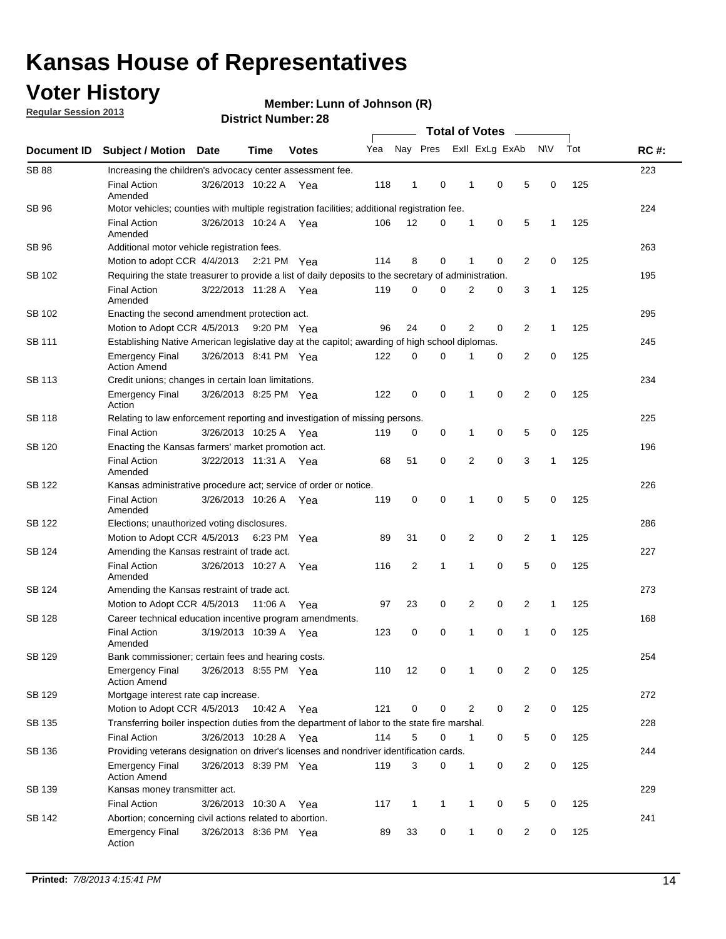### **Voter History**

**Regular Session 2013**

#### **Member: Lunn of Johnson (R)**

| Document ID   |                                                                                                       |                                                    |         |                                                                    |     |                |   |                |   |                |              |     |             |  |  |
|---------------|-------------------------------------------------------------------------------------------------------|----------------------------------------------------|---------|--------------------------------------------------------------------|-----|----------------|---|----------------|---|----------------|--------------|-----|-------------|--|--|
|               | <b>Subject / Motion Date</b>                                                                          |                                                    | Time    | <b>Votes</b>                                                       | Yea | Nay Pres       |   | Exll ExLg ExAb |   |                | <b>NV</b>    | Tot | <b>RC#:</b> |  |  |
| <b>SB 88</b>  | Increasing the children's advocacy center assessment fee.                                             |                                                    |         |                                                                    |     |                |   |                |   |                |              |     | 223         |  |  |
|               | <b>Final Action</b><br>Amended                                                                        | 3/26/2013 10:22 A                                  |         | Yea                                                                | 118 | 1              | 0 | 1              | 0 | 5              | 0            | 125 |             |  |  |
| SB 96         | Motor vehicles; counties with multiple registration facilities; additional registration fee.          |                                                    |         |                                                                    |     |                |   |                |   |                |              |     | 224         |  |  |
|               | <b>Final Action</b><br>Amended                                                                        | 3/26/2013 10:24 A Yea                              |         |                                                                    | 106 | 12             | 0 | 1              | 0 | 5              | 1            | 125 |             |  |  |
| SB 96         | Additional motor vehicle registration fees.                                                           |                                                    |         |                                                                    |     |                |   |                |   |                |              |     | 263         |  |  |
|               | Motion to adopt CCR 4/4/2013 2:21 PM                                                                  |                                                    |         | Yea                                                                | 114 | 8              | 0 | 1              | 0 | 2              | 0            | 125 |             |  |  |
| SB 102        | Requiring the state treasurer to provide a list of daily deposits to the secretary of administration. |                                                    |         |                                                                    |     |                |   |                |   |                |              |     | 195         |  |  |
|               | <b>Final Action</b><br>Amended                                                                        | 3/22/2013 11:28 A Yea                              |         |                                                                    | 119 | 0              | 0 | 2              | 0 | 3              | $\mathbf{1}$ | 125 |             |  |  |
| SB 102        | Enacting the second amendment protection act.                                                         |                                                    |         |                                                                    |     |                |   |                |   |                |              |     |             |  |  |
|               | Motion to Adopt CCR 4/5/2013                                                                          |                                                    |         | 0<br>2<br>0<br>2<br>125<br>96<br>24<br>$\mathbf{1}$<br>9:20 PM Yea |     |                |   |                |   |                |              |     |             |  |  |
| SB 111        | Establishing Native American legislative day at the capitol; awarding of high school diplomas.        |                                                    |         |                                                                    |     |                |   |                |   |                |              |     |             |  |  |
|               | Emergency Final<br><b>Action Amend</b>                                                                | 3/26/2013 8:41 PM Yea                              |         |                                                                    | 122 | 0              | 0 |                | 0 | 2              | 0            | 125 |             |  |  |
| <b>SB 113</b> | Credit unions; changes in certain loan limitations.                                                   |                                                    |         |                                                                    |     |                |   |                |   |                |              |     | 234         |  |  |
|               | <b>Emergency Final</b><br>Action                                                                      | 3/26/2013 8:25 PM Yea                              |         |                                                                    | 122 | 0              | 0 | 1              | 0 | $\overline{2}$ | 0            | 125 |             |  |  |
| <b>SB 118</b> | Relating to law enforcement reporting and investigation of missing persons.                           |                                                    |         |                                                                    |     |                |   |                |   |                |              |     | 225         |  |  |
|               | <b>Final Action</b>                                                                                   | 3/26/2013 10:25 A Yea                              |         |                                                                    | 119 | 0              | 0 | 1              | 0 | 5              | 0            | 125 |             |  |  |
| SB 120        | Enacting the Kansas farmers' market promotion act.                                                    |                                                    |         |                                                                    |     |                |   |                |   |                |              |     | 196         |  |  |
|               | <b>Final Action</b><br>Amended                                                                        | 3/22/2013 11:31 A Yea                              |         |                                                                    | 68  | 51             | 0 | 2              | 0 | 3              | 1            | 125 |             |  |  |
| SB 122        | Kansas administrative procedure act; service of order or notice.                                      |                                                    |         |                                                                    |     |                |   |                |   |                |              |     | 226         |  |  |
|               | <b>Final Action</b><br>Amended                                                                        | 3/26/2013 10:26 A                                  |         | Yea                                                                | 119 | 0              | 0 | 1              | 0 | 5              | 0            | 125 |             |  |  |
| SB 122        | Elections; unauthorized voting disclosures.                                                           |                                                    |         |                                                                    |     |                |   |                |   |                |              |     |             |  |  |
|               | Motion to Adopt CCR 4/5/2013 6:23 PM                                                                  |                                                    |         | Yea                                                                | 89  | 31             | 0 | 2              | 0 | 2              | 1            | 125 |             |  |  |
| SB 124        | Amending the Kansas restraint of trade act.                                                           |                                                    |         |                                                                    |     |                |   |                |   |                |              |     | 227         |  |  |
|               | <b>Final Action</b><br>Amended                                                                        | 3/26/2013 10:27 A                                  |         | Yea                                                                | 116 | $\overline{c}$ | 1 | 1              | 0 | 5              | 0            | 125 |             |  |  |
| SB 124        |                                                                                                       | 273<br>Amending the Kansas restraint of trade act. |         |                                                                    |     |                |   |                |   |                |              |     |             |  |  |
|               | Motion to Adopt CCR 4/5/2013                                                                          |                                                    | 11:06 A | Yea                                                                | 97  | 23             | 0 | 2              | 0 | 2              | 1            | 125 |             |  |  |
| <b>SB 128</b> | Career technical education incentive program amendments.                                              |                                                    |         |                                                                    |     |                |   |                |   |                |              |     | 168         |  |  |
|               | <b>Final Action</b><br>Amended                                                                        | 3/19/2013 10:39 A                                  |         | Yea                                                                | 123 | 0              | 0 | 1              | 0 | 1              | 0            | 125 |             |  |  |
| <b>SB 129</b> | Bank commissioner: certain fees and hearing costs.                                                    |                                                    |         |                                                                    |     |                |   |                |   |                |              |     | 254         |  |  |
|               | <b>Emergency Final</b><br><b>Action Amend</b>                                                         | 3/26/2013 8:55 PM Yea                              |         |                                                                    | 110 | 12             | 0 | 1              | 0 | 2              | 0            | 125 |             |  |  |
| SB 129        | Mortgage interest rate cap increase.                                                                  |                                                    |         |                                                                    |     |                |   |                |   |                |              |     | 272         |  |  |
|               | Motion to Adopt CCR 4/5/2013                                                                          |                                                    | 10:42 A | Yea                                                                | 121 | 0              | 0 | 2              | 0 | 2              | 0            | 125 |             |  |  |
| SB 135        | Transferring boiler inspection duties from the department of labor to the state fire marshal.         |                                                    |         |                                                                    |     |                |   |                |   |                |              |     | 228         |  |  |
|               | <b>Final Action</b>                                                                                   | 3/26/2013 10:28 A Yea                              |         |                                                                    | 114 | 5              | 0 | 1              | 0 | 5              | 0            | 125 |             |  |  |
| SB 136        | Providing veterans designation on driver's licenses and nondriver identification cards.               |                                                    |         |                                                                    |     |                |   |                |   |                |              |     | 244         |  |  |
|               | <b>Emergency Final</b><br><b>Action Amend</b>                                                         | 3/26/2013 8:39 PM Yea                              |         |                                                                    | 119 | 3              | 0 | 1              | 0 | $\overline{2}$ | 0            | 125 |             |  |  |
| SB 139        | Kansas money transmitter act.                                                                         |                                                    |         |                                                                    |     |                |   |                |   |                |              |     | 229         |  |  |
|               | <b>Final Action</b>                                                                                   | 3/26/2013 10:30 A                                  |         | Yea                                                                | 117 | $\mathbf{1}$   | 1 | $\mathbf{1}$   | 0 | 5              | 0            | 125 |             |  |  |
| SB 142        | Abortion; concerning civil actions related to abortion.                                               |                                                    |         |                                                                    |     |                |   |                |   |                |              |     | 241         |  |  |
|               | <b>Emergency Final</b><br>Action                                                                      | 3/26/2013 8:36 PM Yea                              |         |                                                                    | 89  | 33             | 0 | 1              | 0 | 2              | 0            | 125 |             |  |  |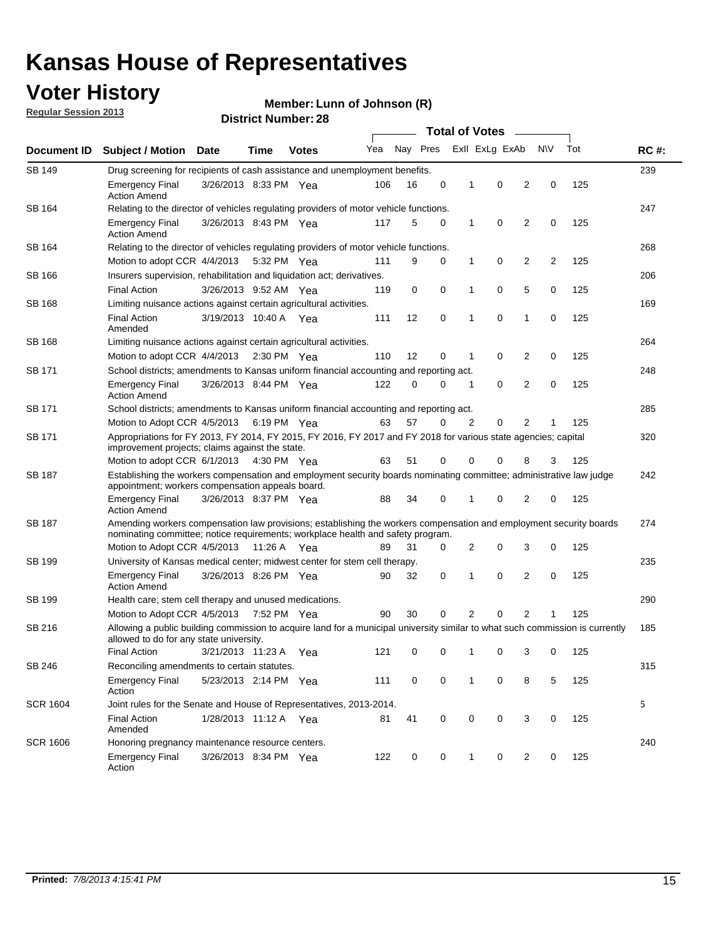#### **Voter History**

**Member: Lunn of Johnson (R)** 

**Regular Session 2013**

|                 |                                                                                                                                                                                                       |                                                                                                                                                                         |                       |              |     |          |             | <b>Total of Votes</b> |                |                |           |     |             |
|-----------------|-------------------------------------------------------------------------------------------------------------------------------------------------------------------------------------------------------|-------------------------------------------------------------------------------------------------------------------------------------------------------------------------|-----------------------|--------------|-----|----------|-------------|-----------------------|----------------|----------------|-----------|-----|-------------|
| Document ID     | <b>Subject / Motion</b>                                                                                                                                                                               | <b>Date</b>                                                                                                                                                             | Time                  | <b>Votes</b> | Yea | Nay Pres |             |                       | Exll ExLg ExAb |                | <b>NV</b> | Tot | <b>RC#:</b> |
| SB 149          | 239<br>Drug screening for recipients of cash assistance and unemployment benefits.                                                                                                                    |                                                                                                                                                                         |                       |              |     |          |             |                       |                |                |           |     |             |
|                 | <b>Emergency Final</b><br><b>Action Amend</b>                                                                                                                                                         | 3/26/2013 8:33 PM Yea                                                                                                                                                   |                       |              | 106 | 16       | 0           | 1                     | 0              | 2              | 0         | 125 |             |
| SB 164          | Relating to the director of vehicles regulating providers of motor vehicle functions.                                                                                                                 |                                                                                                                                                                         |                       |              |     |          |             |                       |                |                |           |     | 247         |
|                 | <b>Emergency Final</b><br><b>Action Amend</b>                                                                                                                                                         | 3/26/2013 8:43 PM Yea                                                                                                                                                   |                       |              | 117 | 5        | 0           | 1                     | 0              | 2              | 0         | 125 |             |
| SB 164          | Relating to the director of vehicles regulating providers of motor vehicle functions.                                                                                                                 |                                                                                                                                                                         |                       |              |     |          |             |                       |                |                |           |     | 268         |
|                 | Motion to adopt CCR 4/4/2013 5:32 PM Yea                                                                                                                                                              |                                                                                                                                                                         |                       |              | 111 | 9        | 0           | 1                     | 0              | 2              | 2         | 125 |             |
| SB 166          | Insurers supervision, rehabilitation and liquidation act; derivatives.                                                                                                                                |                                                                                                                                                                         |                       |              |     |          |             |                       |                |                |           |     | 206         |
|                 | <b>Final Action</b>                                                                                                                                                                                   | 3/26/2013 9:52 AM Yea                                                                                                                                                   |                       |              | 119 | 0        | $\mathbf 0$ | 1                     | 0              | 5              | 0         | 125 |             |
| SB 168          | Limiting nuisance actions against certain agricultural activities.                                                                                                                                    |                                                                                                                                                                         |                       |              |     |          |             |                       |                |                |           |     | 169         |
|                 | Final Action<br>Amended                                                                                                                                                                               | 3/19/2013 10:40 A Yea                                                                                                                                                   |                       |              | 111 | 12       | 0           | 1                     | 0              | 1              | 0         | 125 |             |
| SB 168          | Limiting nuisance actions against certain agricultural activities.                                                                                                                                    |                                                                                                                                                                         |                       |              |     |          |             |                       |                |                |           |     | 264         |
|                 | Motion to adopt CCR 4/4/2013                                                                                                                                                                          |                                                                                                                                                                         | $2:30 \text{ PM}$ Yea |              | 110 | 12       | 0           | 1                     | 0              | 2              | 0         | 125 |             |
| SB 171          | School districts; amendments to Kansas uniform financial accounting and reporting act.                                                                                                                |                                                                                                                                                                         |                       |              |     |          |             |                       |                |                |           |     | 248         |
|                 | <b>Emergency Final</b><br><b>Action Amend</b>                                                                                                                                                         | 3/26/2013 8:44 PM Yea                                                                                                                                                   |                       |              | 122 | 0        | 0           | 1                     | 0              | $\overline{2}$ | 0         | 125 |             |
| SB 171          | School districts; amendments to Kansas uniform financial accounting and reporting act.                                                                                                                |                                                                                                                                                                         |                       |              |     |          |             |                       |                |                |           |     | 285         |
|                 | Motion to Adopt CCR 4/5/2013 6:19 PM Yea                                                                                                                                                              |                                                                                                                                                                         |                       |              | 63  | 57       | 0           | 2                     | 0              | 2              |           | 125 |             |
| SB 171          | Appropriations for FY 2013, FY 2014, FY 2015, FY 2016, FY 2017 and FY 2018 for various state agencies; capital<br>improvement projects; claims against the state.                                     |                                                                                                                                                                         |                       |              |     |          |             |                       |                |                |           |     | 320         |
|                 | Motion to adopt CCR 6/1/2013 4:30 PM Yea                                                                                                                                                              |                                                                                                                                                                         |                       |              | 63  | 51       | 0           | 0                     | 0              | 8              | 3         | 125 |             |
| SB 187          |                                                                                                                                                                                                       | Establishing the workers compensation and employment security boards nominating committee; administrative law judge<br>appointment; workers compensation appeals board. |                       |              |     |          |             |                       |                |                |           |     | 242         |
|                 | <b>Emergency Final</b><br><b>Action Amend</b>                                                                                                                                                         | 3/26/2013 8:37 PM Yea                                                                                                                                                   |                       |              | 88  | 34       | 0           | 1                     | 0              | 2              | 0         | 125 |             |
| SB 187          | Amending workers compensation law provisions; establishing the workers compensation and employment security boards<br>nominating committee; notice requirements; workplace health and safety program. |                                                                                                                                                                         |                       |              |     |          |             |                       |                |                |           |     | 274         |
|                 | Motion to Adopt CCR 4/5/2013 11:26 A Yea                                                                                                                                                              |                                                                                                                                                                         |                       |              | 89  | 31       | 0           | 2                     | 0              | 3              | 0         | 125 |             |
| SB 199          | University of Kansas medical center; midwest center for stem cell therapy.                                                                                                                            |                                                                                                                                                                         |                       |              |     |          |             |                       |                |                |           |     | 235         |
|                 | <b>Emergency Final</b><br><b>Action Amend</b>                                                                                                                                                         | 3/26/2013 8:26 PM Yea                                                                                                                                                   |                       |              | 90  | 32       | 0           | 1                     | 0              | 2              | 0         | 125 |             |
| SB 199          | Health care; stem cell therapy and unused medications.                                                                                                                                                |                                                                                                                                                                         |                       |              |     |          |             |                       |                |                |           |     | 290         |
|                 | Motion to Adopt CCR 4/5/2013                                                                                                                                                                          |                                                                                                                                                                         | 7:52 PM Yea           |              | 90  | 30       | 0           | 2                     | 0              | $\overline{2}$ |           | 125 |             |
| SB 216          | Allowing a public building commission to acquire land for a municipal university similar to what such commission is currently<br>allowed to do for any state university.                              |                                                                                                                                                                         |                       |              |     |          |             |                       |                |                |           |     | 185         |
|                 | <b>Final Action</b>                                                                                                                                                                                   | 3/21/2013 11:23 A                                                                                                                                                       |                       | Yea          | 121 | 0        | 0           | 1                     | 0              | 3              | 0         | 125 |             |
| SB 246          | Reconciling amendments to certain statutes.                                                                                                                                                           |                                                                                                                                                                         |                       |              |     |          |             |                       |                |                |           |     | 315         |
|                 | <b>Emergency Final</b><br>Action                                                                                                                                                                      | 5/23/2013 2:14 PM Yea                                                                                                                                                   |                       |              | 111 | 0        | 0           | 1                     | 0              | 8              | 5         | 125 |             |
| <b>SCR 1604</b> | Joint rules for the Senate and House of Representatives, 2013-2014.                                                                                                                                   |                                                                                                                                                                         |                       |              |     |          |             |                       |                |                |           |     | 5           |
|                 | <b>Final Action</b><br>Amended                                                                                                                                                                        | 1/28/2013 11:12 A Yea                                                                                                                                                   |                       |              | 81  | 41       | 0           | 0                     | 0              | 3              | 0         | 125 |             |
| <b>SCR 1606</b> | Honoring pregnancy maintenance resource centers.                                                                                                                                                      |                                                                                                                                                                         |                       |              |     |          |             |                       |                |                |           |     | 240         |
|                 | Emergency Final<br>Action                                                                                                                                                                             | 3/26/2013 8:34 PM Yea                                                                                                                                                   |                       |              | 122 | 0        | 0           | 1                     | 0              | 2              | 0         | 125 |             |